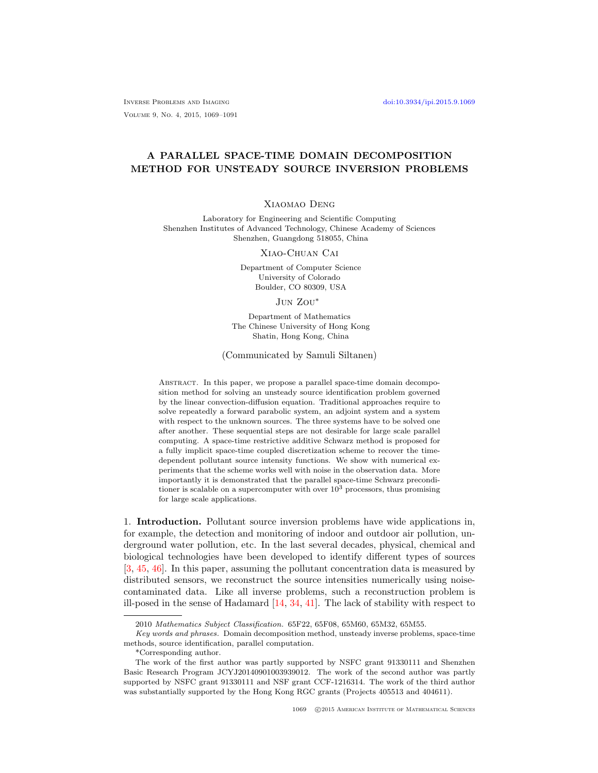Inverse Problems and Imaging [doi:10.3934/ipi.2015.9.1069](http://dx.doi.org/10.3934/ipi.2015.9.1069) Volume 9, No. 4, 2015, 1069–1091

# A PARALLEL SPACE-TIME DOMAIN DECOMPOSITION METHOD FOR UNSTEADY SOURCE INVERSION PROBLEMS

## Xiaomao Deng

Laboratory for Engineering and Scientific Computing Shenzhen Institutes of Advanced Technology, Chinese Academy of Sciences Shenzhen, Guangdong 518055, China

Xiao-Chuan Cai

Department of Computer Science University of Colorado Boulder, CO 80309, USA

### Jun Zou<sup>∗</sup>

Department of Mathematics The Chinese University of Hong Kong Shatin, Hong Kong, China

(Communicated by Samuli Siltanen)

ABSTRACT. In this paper, we propose a parallel space-time domain decomposition method for solving an unsteady source identification problem governed by the linear convection-diffusion equation. Traditional approaches require to solve repeatedly a forward parabolic system, an adjoint system and a system with respect to the unknown sources. The three systems have to be solved one after another. These sequential steps are not desirable for large scale parallel computing. A space-time restrictive additive Schwarz method is proposed for a fully implicit space-time coupled discretization scheme to recover the timedependent pollutant source intensity functions. We show with numerical experiments that the scheme works well with noise in the observation data. More importantly it is demonstrated that the parallel space-time Schwarz preconditioner is scalable on a supercomputer with over  $10<sup>3</sup>$  processors, thus promising for large scale applications.

1. Introduction. Pollutant source inversion problems have wide applications in, for example, the detection and monitoring of indoor and outdoor air pollution, underground water pollution, etc. In the last several decades, physical, chemical and biological technologies have been developed to identify different types of sources [\[3,](#page-20-0) [45,](#page-22-0) [46\]](#page-22-1). In this paper, assuming the pollutant concentration data is measured by distributed sensors, we reconstruct the source intensities numerically using noisecontaminated data. Like all inverse problems, such a reconstruction problem is ill-posed in the sense of Hadamard [\[14,](#page-21-0) [34,](#page-22-2) [41\]](#page-22-3). The lack of stability with respect to

<sup>2010</sup> Mathematics Subject Classification. 65F22, 65F08, 65M60, 65M32, 65M55.

Key words and phrases. Domain decomposition method, unsteady inverse problems, space-time methods, source identification, parallel computation.

<sup>\*</sup>Corresponding author.

The work of the first author was partly supported by NSFC grant 91330111 and Shenzhen Basic Research Program JCYJ20140901003939012. The work of the second author was partly supported by NSFC grant 91330111 and NSF grant CCF-1216314. The work of the third author was substantially supported by the Hong Kong RGC grants (Projects 405513 and 404611).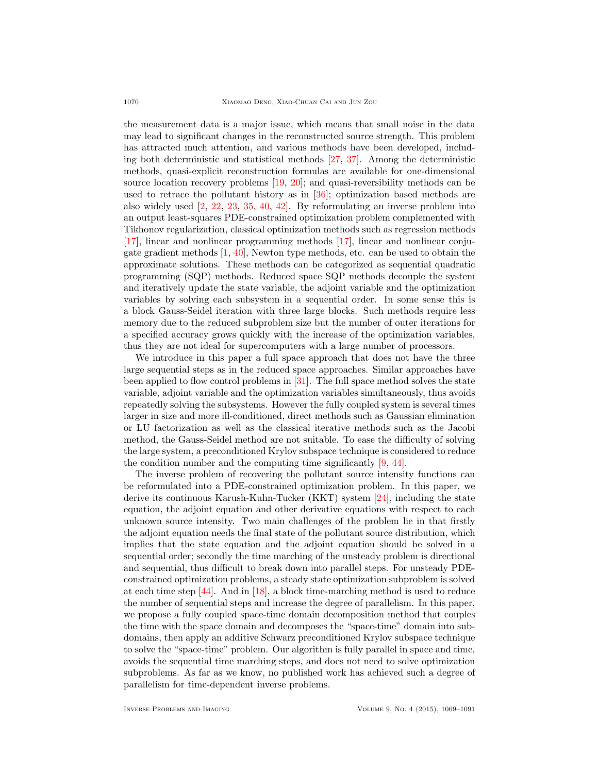the measurement data is a major issue, which means that small noise in the data may lead to significant changes in the reconstructed source strength. This problem has attracted much attention, and various methods have been developed, including both deterministic and statistical methods [\[27,](#page-21-1) [37\]](#page-22-4). Among the deterministic methods, quasi-explicit reconstruction formulas are available for one-dimensional source location recovery problems [\[19,](#page-21-2) [20\]](#page-21-3); and quasi-reversibility methods can be used to retrace the pollutant history as in [\[36\]](#page-22-5); optimization based methods are also widely used [\[2,](#page-20-1) [22,](#page-21-4) [23,](#page-21-5) [35,](#page-22-6) [40,](#page-22-7) [42\]](#page-22-8). By reformulating an inverse problem into an output least-squares PDE-constrained optimization problem complemented with Tikhonov regularization, classical optimization methods such as regression methods [\[17\]](#page-21-6), linear and nonlinear programming methods [\[17\]](#page-21-6), linear and nonlinear conjugate gradient methods  $[1, 40]$  $[1, 40]$ , Newton type methods, etc. can be used to obtain the approximate solutions. These methods can be categorized as sequential quadratic programming (SQP) methods. Reduced space SQP methods decouple the system and iteratively update the state variable, the adjoint variable and the optimization variables by solving each subsystem in a sequential order. In some sense this is a block Gauss-Seidel iteration with three large blocks. Such methods require less memory due to the reduced subproblem size but the number of outer iterations for a specified accuracy grows quickly with the increase of the optimization variables, thus they are not ideal for supercomputers with a large number of processors.

We introduce in this paper a full space approach that does not have the three large sequential steps as in the reduced space approaches. Similar approaches have been applied to flow control problems in [\[31\]](#page-21-7). The full space method solves the state variable, adjoint variable and the optimization variables simultaneously, thus avoids repeatedly solving the subsystems. However the fully coupled system is several times larger in size and more ill-conditioned, direct methods such as Gaussian elimination or LU factorization as well as the classical iterative methods such as the Jacobi method, the Gauss-Seidel method are not suitable. To ease the difficulty of solving the large system, a preconditioned Krylov subspace technique is considered to reduce the condition number and the computing time significantly [\[9,](#page-21-8) [44\]](#page-22-9).

The inverse problem of recovering the pollutant source intensity functions can be reformulated into a PDE-constrained optimization problem. In this paper, we derive its continuous Karush-Kuhn-Tucker (KKT) system [\[24\]](#page-21-9), including the state equation, the adjoint equation and other derivative equations with respect to each unknown source intensity. Two main challenges of the problem lie in that firstly the adjoint equation needs the final state of the pollutant source distribution, which implies that the state equation and the adjoint equation should be solved in a sequential order; secondly the time marching of the unsteady problem is directional and sequential, thus difficult to break down into parallel steps. For unsteady PDEconstrained optimization problems, a steady state optimization subproblem is solved at each time step [\[44\]](#page-22-9). And in [\[18\]](#page-21-10), a block time-marching method is used to reduce the number of sequential steps and increase the degree of parallelism. In this paper, we propose a fully coupled space-time domain decomposition method that couples the time with the space domain and decomposes the "space-time" domain into subdomains, then apply an additive Schwarz preconditioned Krylov subspace technique to solve the "space-time" problem. Our algorithm is fully parallel in space and time, avoids the sequential time marching steps, and does not need to solve optimization subproblems. As far as we know, no published work has achieved such a degree of parallelism for time-dependent inverse problems.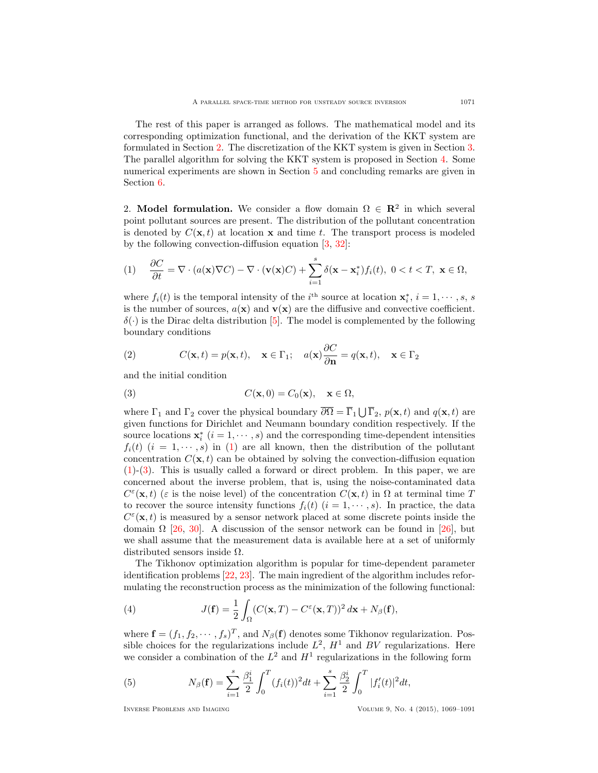The rest of this paper is arranged as follows. The mathematical model and its corresponding optimization functional, and the derivation of the KKT system are formulated in Section [2.](#page-2-0) The discretization of the KKT system is given in Section [3.](#page-5-0) The parallel algorithm for solving the KKT system is proposed in Section [4.](#page-6-0) Some numerical experiments are shown in Section [5](#page-10-0) and concluding remarks are given in Section [6.](#page-19-0)

<span id="page-2-0"></span>2. Model formulation. We consider a flow domain  $\Omega \in \mathbb{R}^2$  in which several point pollutant sources are present. The distribution of the pollutant concentration is denoted by  $C(\mathbf{x}, t)$  at location **x** and time t. The transport process is modeled by the following convection-diffusion equation [\[3,](#page-20-0) [32\]](#page-21-11):

<span id="page-2-1"></span>
$$
(1) \quad \frac{\partial C}{\partial t} = \nabla \cdot (a(\mathbf{x}) \nabla C) - \nabla \cdot (\mathbf{v}(\mathbf{x}) C) + \sum_{i=1}^{s} \delta(\mathbf{x} - \mathbf{x}_{i}^{*}) f_{i}(t), \ 0 < t < T, \ \mathbf{x} \in \Omega,
$$

where  $f_i(t)$  is the temporal intensity of the i<sup>th</sup> source at location  $\mathbf{x}_i^*, i = 1, \dots, s, s$ is the number of sources,  $a(\mathbf{x})$  and  $\mathbf{v}(\mathbf{x})$  are the diffusive and convective coefficient.  $\delta(\cdot)$  is the Dirac delta distribution [\[5\]](#page-20-3). The model is complemented by the following boundary conditions

<span id="page-2-4"></span>(2) 
$$
C(\mathbf{x}, t) = p(\mathbf{x}, t), \quad \mathbf{x} \in \Gamma_1; \quad a(\mathbf{x}) \frac{\partial C}{\partial \mathbf{n}} = q(\mathbf{x}, t), \quad \mathbf{x} \in \Gamma_2
$$

and the initial condition

<span id="page-2-2"></span>(3) 
$$
C(\mathbf{x},0) = C_0(\mathbf{x}), \quad \mathbf{x} \in \Omega,
$$

where  $\Gamma_1$  and  $\Gamma_2$  cover the physical boundary  $\overline{\partial\Omega} = \overline{\Gamma}_1 \bigcup \overline{\Gamma}_2$ ,  $p(\mathbf{x}, t)$  and  $q(\mathbf{x}, t)$  are given functions for Dirichlet and Neumann boundary condition respectively. If the source locations  $\mathbf{x}_i^*$   $(i = 1, \dots, s)$  and the corresponding time-dependent intensities  $f_i(t)$   $(i = 1, \dots, s)$  in [\(1\)](#page-2-1) are all known, then the distribution of the pollutant concentration  $C(\mathbf{x}, t)$  can be obtained by solving the convection-diffusion equation [\(1\)](#page-2-1)-[\(3\)](#page-2-2). This is usually called a forward or direct problem. In this paper, we are concerned about the inverse problem, that is, using the noise-contaminated data  $C^{\varepsilon}(\mathbf{x},t)$  ( $\varepsilon$  is the noise level) of the concentration  $C(\mathbf{x},t)$  in  $\Omega$  at terminal time T to recover the source intensity functions  $f_i(t)$   $(i = 1, \dots, s)$ . In practice, the data  $C^{\varepsilon}(\mathbf{x},t)$  is measured by a sensor network placed at some discrete points inside the domain  $\Omega$  [\[26,](#page-21-12) [30\]](#page-21-13). A discussion of the sensor network can be found in [\[26\]](#page-21-12), but we shall assume that the measurement data is available here at a set of uniformly distributed sensors inside  $\Omega$ .

The Tikhonov optimization algorithm is popular for time-dependent parameter identification problems [\[22,](#page-21-4) [23\]](#page-21-5). The main ingredient of the algorithm includes reformulating the reconstruction process as the minimization of the following functional:

<span id="page-2-3"></span>(4) 
$$
J(\mathbf{f}) = \frac{1}{2} \int_{\Omega} (C(\mathbf{x}, T) - C^{\varepsilon}(\mathbf{x}, T))^2 d\mathbf{x} + N_{\beta}(\mathbf{f}),
$$

where  $\mathbf{f} = (f_1, f_2, \dots, f_s)^T$ , and  $N_\beta(\mathbf{f})$  denotes some Tikhonov regularization. Possible choices for the regularizations include  $L^2$ ,  $H^1$  and BV regularizations. Here we consider a combination of the  $L^2$  and  $H^1$  regularizations in the following form

<span id="page-2-5"></span>(5) 
$$
N_{\beta}(\mathbf{f}) = \sum_{i=1}^{s} \frac{\beta_1^i}{2} \int_0^T (f_i(t))^2 dt + \sum_{i=1}^{s} \frac{\beta_2^i}{2} \int_0^T |f'_i(t)|^2 dt,
$$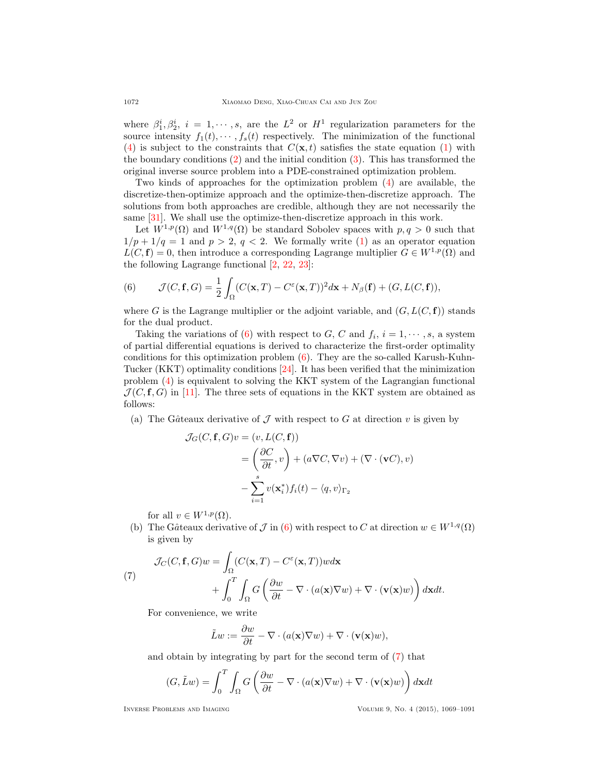where  $\beta_1^i, \beta_2^i, i = 1, \dots, s$ , are the  $L^2$  or  $H^1$  regularization parameters for the source intensity  $f_1(t), \cdots, f_s(t)$  respectively. The minimization of the functional [\(4\)](#page-2-3) is subject to the constraints that  $C(\mathbf{x}, t)$  satisfies the state equation [\(1\)](#page-2-1) with the boundary conditions [\(2\)](#page-2-4) and the initial condition [\(3\)](#page-2-2). This has transformed the original inverse source problem into a PDE-constrained optimization problem.

Two kinds of approaches for the optimization problem [\(4\)](#page-2-3) are available, the discretize-then-optimize approach and the optimize-then-discretize approach. The solutions from both approaches are credible, although they are not necessarily the same [\[31\]](#page-21-7). We shall use the optimize-then-discretize approach in this work.

Let  $W^{1,p}(\Omega)$  and  $W^{1,q}(\Omega)$  be standard Sobolev spaces with  $p, q > 0$  such that  $1/p + 1/q = 1$  and  $p > 2$ ,  $q < 2$ . We formally write [\(1\)](#page-2-1) as an operator equation  $L(C, f) = 0$ , then introduce a corresponding Lagrange multiplier  $G \in W^{1,p}(\Omega)$  and the following Lagrange functional [\[2,](#page-20-1) [22,](#page-21-4) [23\]](#page-21-5):

<span id="page-3-0"></span>(6) 
$$
\mathcal{J}(C, \mathbf{f}, G) = \frac{1}{2} \int_{\Omega} (C(\mathbf{x}, T) - C^{\epsilon}(\mathbf{x}, T))^2 d\mathbf{x} + N_{\beta}(\mathbf{f}) + (G, L(C, \mathbf{f})),
$$

where G is the Lagrange multiplier or the adjoint variable, and  $(G, L(C, \mathbf{f}))$  stands for the dual product.

Taking the variations of [\(6\)](#page-3-0) with respect to G, C and  $f_i$ ,  $i = 1, \dots, s$ , a system of partial differential equations is derived to characterize the first-order optimality conditions for this optimization problem  $(6)$ . They are the so-called Karush-Kuhn-Tucker (KKT) optimality conditions [\[24\]](#page-21-9). It has been verified that the minimization problem [\(4\)](#page-2-3) is equivalent to solving the KKT system of the Lagrangian functional  $\mathcal{J}(C, \mathbf{f}, G)$  in [\[11\]](#page-21-14). The three sets of equations in the KKT system are obtained as follows:

(a) The Gâteaux derivative of  $\mathcal J$  with respect to G at direction v is given by

$$
\mathcal{J}_G(C, \mathbf{f}, G)v = (v, L(C, \mathbf{f}))
$$
  
=  $\left(\frac{\partial C}{\partial t}, v\right) + (a\nabla C, \nabla v) + (\nabla \cdot (\mathbf{v}C), v)$   
-  $\sum_{i=1}^s v(\mathbf{x}_i^*) f_i(t) - \langle q, v \rangle_{\Gamma_2}$ 

for all  $v \in W^{1,p}(\Omega)$ .

(b) The Gâteaux derivative of  $\mathcal J$  in [\(6\)](#page-3-0) with respect to C at direction  $w \in W^{1,q}(\Omega)$ is given by

<span id="page-3-1"></span>(7)  

$$
\mathcal{J}_C(C, \mathbf{f}, G)w = \int_{\Omega} (C(\mathbf{x}, T) - C^{\varepsilon}(\mathbf{x}, T))w d\mathbf{x} + \int_0^T \int_{\Omega} G\left(\frac{\partial w}{\partial t} - \nabla \cdot (a(\mathbf{x}) \nabla w) + \nabla \cdot (\mathbf{v}(\mathbf{x})w)\right) d\mathbf{x} dt.
$$

For convenience, we write

$$
\tilde{L}w := \frac{\partial w}{\partial t} - \nabla \cdot (a(\mathbf{x})\nabla w) + \nabla \cdot (\mathbf{v}(\mathbf{x})w),
$$

and obtain by integrating by part for the second term of [\(7\)](#page-3-1) that

$$
(G, \tilde{L}w) = \int_0^T \int_{\Omega} G\left(\frac{\partial w}{\partial t} - \nabla \cdot (a(\mathbf{x})\nabla w) + \nabla \cdot (\mathbf{v}(\mathbf{x})w)\right) d\mathbf{x} dt
$$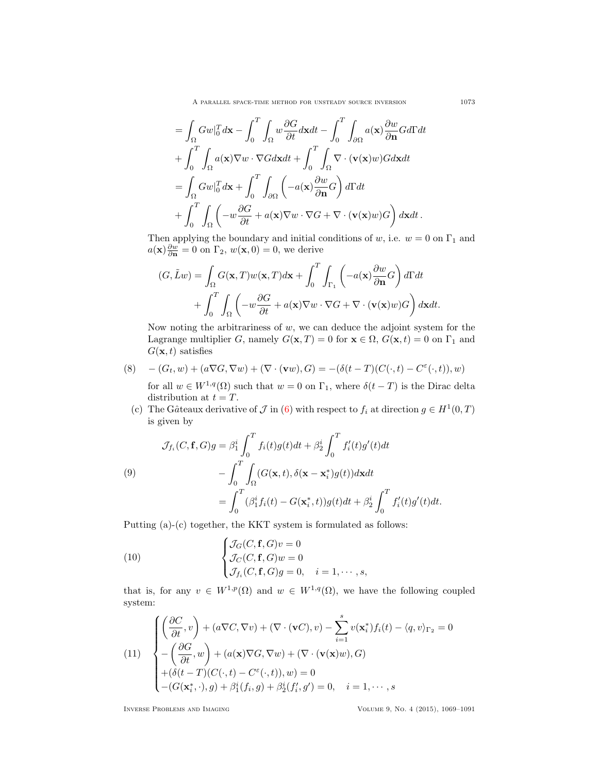A PARALLEL SPACE-TIME METHOD FOR UNSTEADY SOURCE INVERSION 1073

$$
= \int_{\Omega} Gw|_{0}^{T} d\mathbf{x} - \int_{0}^{T} \int_{\Omega} w \frac{\partial G}{\partial t} d\mathbf{x} dt - \int_{0}^{T} \int_{\partial \Omega} a(\mathbf{x}) \frac{\partial w}{\partial \mathbf{n}} G d\Gamma dt
$$
  
+ 
$$
\int_{0}^{T} \int_{\Omega} a(\mathbf{x}) \nabla w \cdot \nabla G d\mathbf{x} dt + \int_{0}^{T} \int_{\Omega} \nabla \cdot (\mathbf{v}(\mathbf{x})w) G d\mathbf{x} dt
$$
  
= 
$$
\int_{\Omega} Gw|_{0}^{T} d\mathbf{x} + \int_{0}^{T} \int_{\partial \Omega} \left( -a(\mathbf{x}) \frac{\partial w}{\partial \mathbf{n}} G \right) d\Gamma dt
$$
  
+ 
$$
\int_{0}^{T} \int_{\Omega} \left( -w \frac{\partial G}{\partial t} + a(\mathbf{x}) \nabla w \cdot \nabla G + \nabla \cdot (\mathbf{v}(\mathbf{x})w) G \right) d\mathbf{x} dt.
$$

Then applying the boundary and initial conditions of w, i.e.  $w = 0$  on  $\Gamma_1$  and  $a(\mathbf{x})\frac{\partial w}{\partial \mathbf{n}} = 0$  on  $\Gamma_2$ ,  $w(\mathbf{x}, 0) = 0$ , we derive

$$
(G, \tilde{L}w) = \int_{\Omega} G(\mathbf{x}, T)w(\mathbf{x}, T)d\mathbf{x} + \int_{0}^{T} \int_{\Gamma_{1}} \left( -a(\mathbf{x}) \frac{\partial w}{\partial \mathbf{n}} G \right) d\Gamma dt
$$

$$
+ \int_{0}^{T} \int_{\Omega} \left( -w \frac{\partial G}{\partial t} + a(\mathbf{x}) \nabla w \cdot \nabla G + \nabla \cdot (\mathbf{v}(\mathbf{x})w) G \right) d\mathbf{x} dt.
$$

Now noting the arbitrariness of  $w$ , we can deduce the adjoint system for the Lagrange multiplier G, namely  $G(\mathbf{x}, T) = 0$  for  $\mathbf{x} \in \Omega$ ,  $G(\mathbf{x}, t) = 0$  on  $\Gamma_1$  and  $G(\mathbf{x}, t)$  satisfies

(8) 
$$
-(G_t, w) + (a\nabla G, \nabla w) + (\nabla \cdot (\mathbf{v}w), G) = -(\delta(t-T)(C(\cdot, t) - C^{\varepsilon}(\cdot, t)), w)
$$

for all  $w \in W^{1,q}(\Omega)$  such that  $w = 0$  on  $\Gamma_1$ , where  $\delta(t - T)$  is the Dirac delta distribution at  $t = T$ .

(c) The Gâteaux derivative of  $\mathcal J$  in [\(6\)](#page-3-0) with respect to  $f_i$  at direction  $g \in H^1(0,T)$ is given by

<span id="page-4-1"></span>(9)  
\n
$$
\mathcal{J}_{f_i}(C, \mathbf{f}, G)g = \beta_1^i \int_0^T f_i(t)g(t)dt + \beta_2^i \int_0^T f'_i(t)g'(t)dt - \int_0^T \int_{\Omega} (G(\mathbf{x}, t), \delta(\mathbf{x} - \mathbf{x}_i^*)g(t))d\mathbf{x}dt = \int_0^T (\beta_1^i f_i(t) - G(\mathbf{x}_i^*, t))g(t)dt + \beta_2^i \int_0^T f'_i(t)g'(t)dt.
$$

Putting (a)-(c) together, the KKT system is formulated as follows:

(10) 
$$
\begin{cases} \mathcal{J}_G(C, \mathbf{f}, G)v = 0 \\ \mathcal{J}_C(C, \mathbf{f}, G)w = 0 \\ \mathcal{J}_i(C, \mathbf{f}, G)g = 0, \quad i = 1, \cdots, s, \end{cases}
$$

that is, for any  $v \in W^{1,p}(\Omega)$  and  $w \in W^{1,q}(\Omega)$ , we have the following coupled system:

<span id="page-4-0"></span>(11) 
$$
\begin{cases} \left(\frac{\partial C}{\partial t}, v\right) + (a\nabla C, \nabla v) + (\nabla \cdot (\mathbf{v}C), v) - \sum_{i=1}^{s} v(\mathbf{x}_{i}^{*}) f_{i}(t) - \langle q, v \rangle_{\Gamma_{2}} = 0\\ -\left(\frac{\partial G}{\partial t}, w\right) + (a(\mathbf{x})\nabla G, \nabla w) + (\nabla \cdot (\mathbf{v}(\mathbf{x})w), G)\\ + (\delta(t - T)(C(\cdot, t) - C^{\varepsilon}(\cdot, t)), w) = 0\\ - (G(\mathbf{x}_{i}^{*}, \cdot), g) + \beta_{1}^{i}(f_{i}, g) + \beta_{2}^{i}(f'_{i}, g') = 0, \quad i = 1, \cdots, s \end{cases}
$$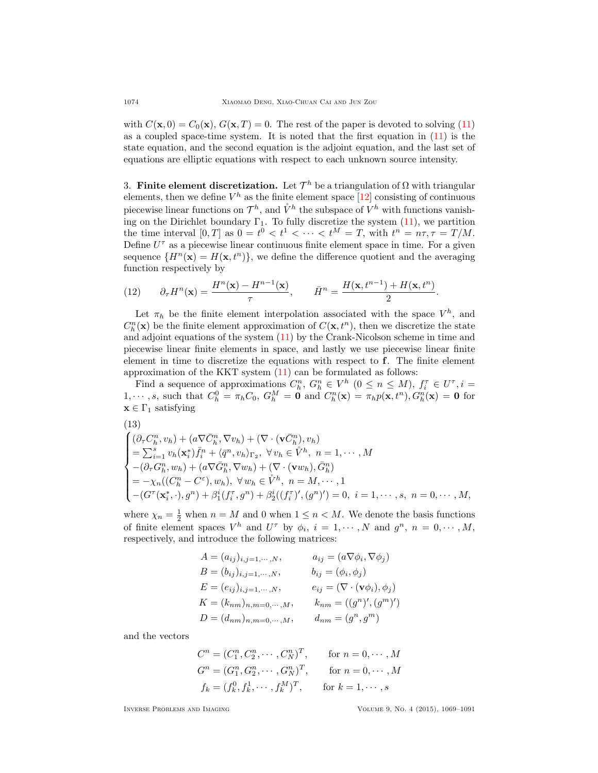with  $C(\mathbf{x}, 0) = C_0(\mathbf{x}), G(\mathbf{x}, T) = 0$ . The rest of the paper is devoted to solving [\(11\)](#page-4-0) as a coupled space-time system. It is noted that the first equation in [\(11\)](#page-4-0) is the state equation, and the second equation is the adjoint equation, and the last set of equations are elliptic equations with respect to each unknown source intensity.

<span id="page-5-0"></span>3. Finite element discretization. Let  $\mathcal{T}^h$  be a triangulation of  $\Omega$  with triangular elements, then we define  $V^h$  as the finite element space  $[12]$  consisting of continuous piecewise linear functions on  $\mathcal{T}^h$ , and  $\mathring{V}^h$  the subspace of  $\mathring{V}^h$  with functions vanishing on the Dirichlet boundary  $\Gamma_1$ . To fully discretize the system [\(11\)](#page-4-0), we partition the time interval  $[0,T]$  as  $0 = t^0 < t^1 < \cdots < t^M = T$ , with  $t^n = n\tau, \tau = T/M$ . Define  $U^{\tau}$  as a piecewise linear continuous finite element space in time. For a given sequence  $\{H^n(\mathbf{x}) = H(\mathbf{x}, t^n)\}\,$ , we define the difference quotient and the averaging function respectively by

(12) 
$$
\partial_{\tau} H^n(\mathbf{x}) = \frac{H^n(\mathbf{x}) - H^{n-1}(\mathbf{x})}{\tau}, \qquad \bar{H}^n = \frac{H(\mathbf{x}, t^{n-1}) + H(\mathbf{x}, t^n)}{2}.
$$

Let  $\pi_h$  be the finite element interpolation associated with the space  $V^h$ , and  $C_h^n(\mathbf{x})$  be the finite element approximation of  $C(\mathbf{x}, t^n)$ , then we discretize the state and adjoint equations of the system [\(11\)](#page-4-0) by the Crank-Nicolson scheme in time and piecewise linear finite elements in space, and lastly we use piecewise linear finite element in time to discretize the equations with respect to f. The finite element approximation of the KKT system [\(11\)](#page-4-0) can be formulated as follows:

Find a sequence of approximations  $C_h^n$ ,  $G_h^n \in V^h$   $(0 \le n \le M)$ ,  $f_i^{\tau} \in U^{\tau}$ ,  $i =$ 1,  $\cdots$ , s, such that  $C_h^0 = \pi_h C_0$ ,  $G_h^M = \mathbf{0}$  and  $C_h^n(\mathbf{x}) = \pi_h p(\mathbf{x}, t^n)$ ,  $G_h^n(\mathbf{x}) = \mathbf{0}$  for  $\mathbf{x} \in \Gamma_1$  satisfying

<span id="page-5-1"></span>(13)  
\n
$$
\begin{cases}\n(\partial_{\tau}C_h^n, v_h) + (a\nabla \bar{C}_h^n, \nabla v_h) + (\nabla \cdot (\mathbf{v}\bar{C}_h^n), v_h) \\
= \sum_{i=1}^s v_h(\mathbf{x}_i^*) \bar{f}_i^n + \langle \bar{q}^n, v_h \rangle_{\Gamma_2}, \ \forall v_h \in \mathring{V}^h, \ n = 1, \cdots, M \\
-(\partial_{\tau}G_h^n, w_h) + (a\nabla \bar{G}_h^n, \nabla w_h) + (\nabla \cdot (\mathbf{v}w_h), \bar{G}_h^n) \\
= -\chi_n((C_h^n - C^{\varepsilon}), w_h), \ \forall w_h \in \mathring{V}^h, \ n = M, \cdots, 1 \\
-(G^{\tau}(\mathbf{x}_i^* \cdot), g^n) + \beta_1^i(f_i^{\tau}, g^n) + \beta_2^i((f_i^{\tau})', (g^n)^{\prime}) = 0, \ i = 1, \cdots, s, \ n = 0, \cdots, M,\n\end{cases}
$$

where  $\chi_n = \frac{1}{2}$  when  $n = M$  and 0 when  $1 \leq n < M$ . We denote the basis functions of finite element spaces  $V^h$  and  $U^{\tau}$  by  $\phi_i$ ,  $i = 1, \cdots, N$  and  $g^n$ ,  $n = 0, \cdots, M$ , respectively, and introduce the following matrices:

$$
A = (a_{ij})_{i,j=1,\dots,N}, \t a_{ij} = (a\nabla\phi_i, \nabla\phi_j)
$$
  
\n
$$
B = (b_{ij})_{i,j=1,\dots,N}, \t b_{ij} = (\phi_i, \phi_j)
$$
  
\n
$$
E = (e_{ij})_{i,j=1,\dots,N}, \t e_{ij} = (\nabla \cdot (\mathbf{v}\phi_i), \phi_j)
$$
  
\n
$$
K = (k_{nm})_{n,m=0,\dots,M}, \t k_{nm} = ((g^n)', (g^m)')
$$
  
\n
$$
D = (d_{nm})_{n,m=0,\dots,M}, \t d_{nm} = (g^n, g^m)
$$

and the vectors

$$
C^{n} = (C_{1}^{n}, C_{2}^{n}, \cdots, C_{N}^{n})^{T}, \quad \text{for } n = 0, \cdots, M
$$
  
\n
$$
G^{n} = (G_{1}^{n}, G_{2}^{n}, \cdots, G_{N}^{n})^{T}, \quad \text{for } n = 0, \cdots, M
$$
  
\n
$$
f_{k} = (f_{k}^{0}, f_{k}^{1}, \cdots, f_{k}^{M})^{T}, \quad \text{for } k = 1, \cdots, s
$$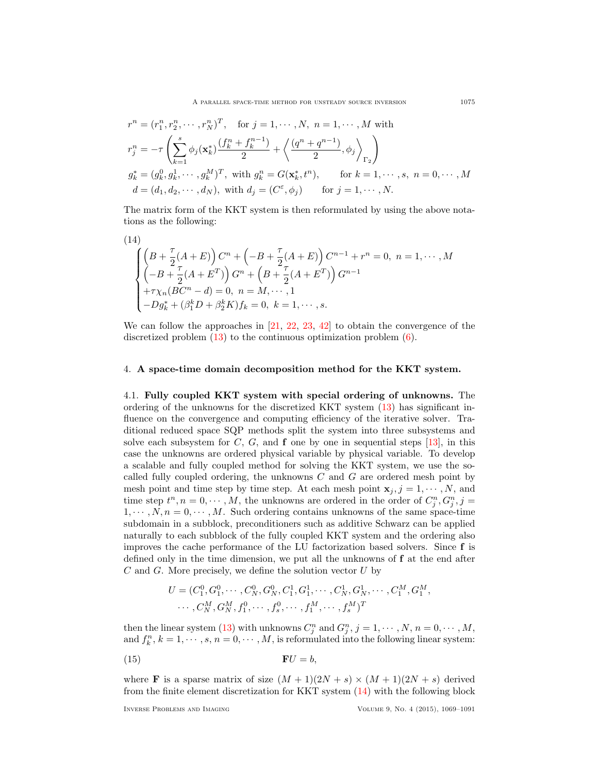A PARALLEL SPACE-TIME METHOD FOR UNSTEADY SOURCE INVERSION 1075

$$
r^{n} = (r_{1}^{n}, r_{2}^{n}, \dots, r_{N}^{n})^{T}, \text{ for } j = 1, \dots, N, n = 1, \dots, M \text{ with}
$$
  
\n
$$
r_{j}^{n} = -\tau \left( \sum_{k=1}^{s} \phi_{j}(\mathbf{x}_{k}^{*}) \frac{(f_{k}^{n} + f_{k}^{n-1})}{2} + \left\langle \frac{(q^{n} + q^{n-1})}{2}, \phi_{j} \right\rangle_{\Gamma_{2}} \right)
$$
  
\n
$$
g_{k}^{*} = (g_{k}^{0}, g_{k}^{1}, \dots, g_{k}^{M})^{T}, \text{ with } g_{k}^{n} = G(\mathbf{x}_{k}^{*}, t^{n}), \text{ for } k = 1, \dots, s, n = 0, \dots, M
$$
  
\n
$$
d = (d_{1}, d_{2}, \dots, d_{N}), \text{ with } d_{j} = (C^{\varepsilon}, \phi_{j}) \text{ for } j = 1, \dots, N.
$$

The matrix form of the KKT system is then reformulated by using the above notations as the following:

<span id="page-6-1"></span>(14)  
\n
$$
\begin{cases}\n\left(B + \frac{\tau}{2}(A+E)\right)C^n + \left(-B + \frac{\tau}{2}(A+E)\right)C^{n-1} + r^n = 0, \ n = 1, \cdots, M \\
\left(-B + \frac{\tau}{2}(A+E^T)\right)G^n + \left(B + \frac{\tau}{2}(A+E^T)\right)G^{n-1} \\
+r\chi_n(BC^n - d) = 0, \ n = M, \cdots, 1 \\
-Dg_k^* + (\beta_1^k D + \beta_2^k K)f_k = 0, \ k = 1, \cdots, s.\n\end{cases}
$$

We can follow the approaches in  $[21, 22, 23, 42]$  $[21, 22, 23, 42]$  $[21, 22, 23, 42]$  $[21, 22, 23, 42]$  $[21, 22, 23, 42]$  $[21, 22, 23, 42]$  to obtain the convergence of the discretized problem  $(13)$  to the continuous optimization problem  $(6)$ .

### <span id="page-6-0"></span>4. A space-time domain decomposition method for the KKT system.

4.1. Fully coupled KKT system with special ordering of unknowns. The ordering of the unknowns for the discretized KKT system [\(13\)](#page-5-1) has significant influence on the convergence and computing efficiency of the iterative solver. Traditional reduced space SQP methods split the system into three subsystems and solve each subsystem for C, G, and  $f$  one by one in sequential steps [\[13\]](#page-21-17), in this case the unknowns are ordered physical variable by physical variable. To develop a scalable and fully coupled method for solving the KKT system, we use the socalled fully coupled ordering, the unknowns  $C$  and  $G$  are ordered mesh point by mesh point and time step by time step. At each mesh point  $\mathbf{x}_i$ ,  $j = 1, \dots, N$ , and time step  $t^n, n = 0, \dots, M$ , the unknowns are ordered in the order of  $C_j^n, G_j^n, j =$  $1, \dots, N, n = 0, \dots, M$ . Such ordering contains unknowns of the same space-time subdomain in a subblock, preconditioners such as additive Schwarz can be applied naturally to each subblock of the fully coupled KKT system and the ordering also improves the cache performance of the LU factorization based solvers. Since f is defined only in the time dimension, we put all the unknowns of f at the end after  $C$  and  $G$ . More precisely, we define the solution vector  $U$  by

<span id="page-6-2"></span>
$$
U = (C_1^0, G_1^0, \cdots, C_N^0, G_N^0, C_1^1, G_1^1, \cdots, C_N^1, G_N^1, \cdots, C_1^M, G_1^M, \cdots, C_N^M, G_N^M, f_1^0, \cdots, f_s^0, \cdots, f_1^M, \cdots, f_s^M)^T
$$

then the linear system [\(13\)](#page-5-1) with unknowns  $C_j^n$  and  $G_j^n$ ,  $j = 1, \dots, N$ ,  $n = 0, \dots, M$ , and  $f_k^n$ ,  $k = 1, \dots, s, n = 0, \dots, M$ , is reformulated into the following linear system:

$$
\mathbf{F}U = b,
$$

where **F** is a sparse matrix of size  $(M + 1)(2N + s) \times (M + 1)(2N + s)$  derived from the finite element discretization for KKT system [\(14\)](#page-6-1) with the following block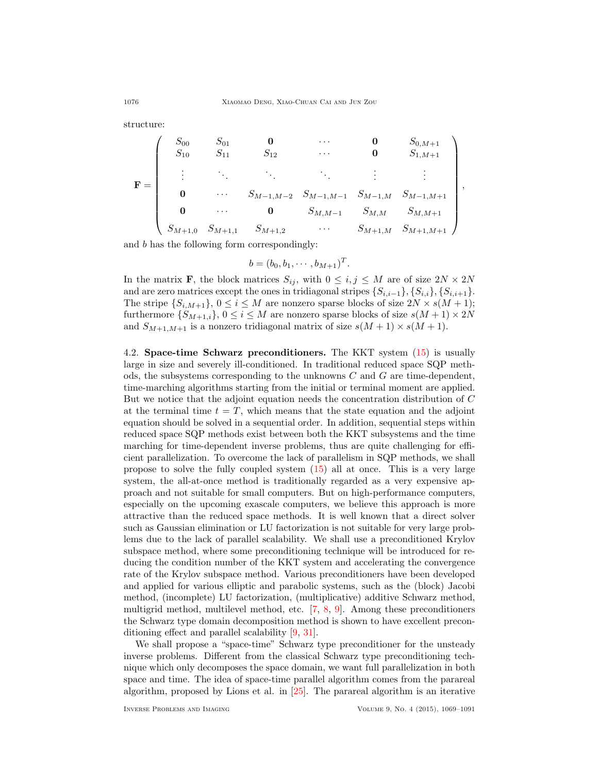structure:

$$
\mathbf{F} = \begin{pmatrix}\nS_{00} & S_{01} & \mathbf{0} & \cdots & \mathbf{0} & S_{0,M+1} \\
S_{10} & S_{11} & S_{12} & \cdots & \mathbf{0} & S_{1,M+1} \\
\vdots & \ddots & \ddots & \ddots & \vdots & \vdots \\
\mathbf{0} & \cdots & S_{M-1,M-2} & S_{M-1,M-1} & S_{M-1,M} & S_{M-1,M+1} \\
\mathbf{0} & \cdots & \mathbf{0} & S_{M,M-1} & S_{M,M} & S_{M,M+1} \\
S_{M+1,0} & S_{M+1,1} & S_{M+1,2} & \cdots & S_{M+1,M} & S_{M+1,M+1}\n\end{pmatrix},
$$

and b has the following form correspondingly:

$$
b = (b_0, b_1, \cdots, b_{M+1})^T.
$$

In the matrix **F**, the block matrices  $S_{ij}$ , with  $0 \leq i, j \leq M$  are of size  $2N \times 2N$ and are zero matrices except the ones in tridiagonal stripes  $\{S_{i,i-1}\}, \{S_{i,i}\}, \{S_{i,i+1}\}.$ The stripe  $\{S_{i,M+1}\}, 0 \leq i \leq M$  are nonzero sparse blocks of size  $2N \times s(M+1)$ ; furthermore  $\{S_{M+1,i}\}, 0 \le i \le M$  are nonzero sparse blocks of size  $s(M + 1) \times 2N$ and  $S_{M+1,M+1}$  is a nonzero tridiagonal matrix of size  $s(M + 1) \times s(M + 1)$ .

<span id="page-7-0"></span>4.2. Space-time Schwarz preconditioners. The KKT system [\(15\)](#page-6-2) is usually large in size and severely ill-conditioned. In traditional reduced space SQP methods, the subsystems corresponding to the unknowns  $C$  and  $G$  are time-dependent, time-marching algorithms starting from the initial or terminal moment are applied. But we notice that the adjoint equation needs the concentration distribution of C at the terminal time  $t = T$ , which means that the state equation and the adjoint equation should be solved in a sequential order. In addition, sequential steps within reduced space SQP methods exist between both the KKT subsystems and the time marching for time-dependent inverse problems, thus are quite challenging for efficient parallelization. To overcome the lack of parallelism in SQP methods, we shall propose to solve the fully coupled system [\(15\)](#page-6-2) all at once. This is a very large system, the all-at-once method is traditionally regarded as a very expensive approach and not suitable for small computers. But on high-performance computers, especially on the upcoming exascale computers, we believe this approach is more attractive than the reduced space methods. It is well known that a direct solver such as Gaussian elimination or LU factorization is not suitable for very large problems due to the lack of parallel scalability. We shall use a preconditioned Krylov subspace method, where some preconditioning technique will be introduced for reducing the condition number of the KKT system and accelerating the convergence rate of the Krylov subspace method. Various preconditioners have been developed and applied for various elliptic and parabolic systems, such as the (block) Jacobi method, (incomplete) LU factorization, (multiplicative) additive Schwarz method, multigrid method, multilevel method, etc. [\[7,](#page-20-4) [8,](#page-20-5) [9\]](#page-21-8). Among these preconditioners the Schwarz type domain decomposition method is shown to have excellent preconditioning effect and parallel scalability [\[9,](#page-21-8) [31\]](#page-21-7).

We shall propose a "space-time" Schwarz type preconditioner for the unsteady inverse problems. Different from the classical Schwarz type preconditioning technique which only decomposes the space domain, we want full parallelization in both space and time. The idea of space-time parallel algorithm comes from the parareal algorithm, proposed by Lions et al. in [\[25\]](#page-21-18). The parareal algorithm is an iterative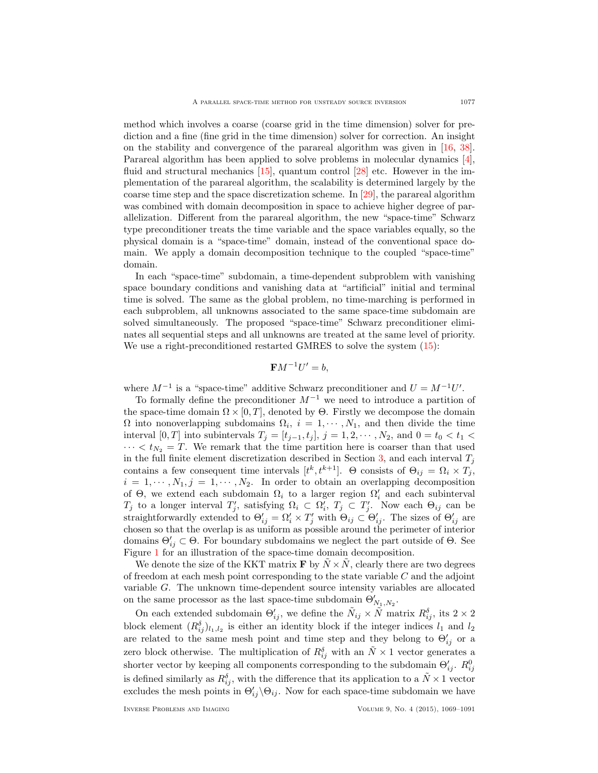method which involves a coarse (coarse grid in the time dimension) solver for prediction and a fine (fine grid in the time dimension) solver for correction. An insight on the stability and convergence of the parareal algorithm was given in [\[16,](#page-21-19) [38\]](#page-22-10). Parareal algorithm has been applied to solve problems in molecular dynamics [\[4\]](#page-20-6), fluid and structural mechanics [\[15\]](#page-21-20), quantum control [\[28\]](#page-21-21) etc. However in the implementation of the parareal algorithm, the scalability is determined largely by the coarse time step and the space discretization scheme. In [\[29\]](#page-21-22), the parareal algorithm was combined with domain decomposition in space to achieve higher degree of parallelization. Different from the parareal algorithm, the new "space-time" Schwarz type preconditioner treats the time variable and the space variables equally, so the physical domain is a "space-time" domain, instead of the conventional space domain. We apply a domain decomposition technique to the coupled "space-time" domain.

In each "space-time" subdomain, a time-dependent subproblem with vanishing space boundary conditions and vanishing data at "artificial" initial and terminal time is solved. The same as the global problem, no time-marching is performed in each subproblem, all unknowns associated to the same space-time subdomain are solved simultaneously. The proposed "space-time" Schwarz preconditioner eliminates all sequential steps and all unknowns are treated at the same level of priority. We use a right-preconditioned restarted GMRES to solve the system  $(15)$ :

$$
\mathbf{F}M^{-1}U'=b,
$$

where  $M^{-1}$  is a "space-time" additive Schwarz preconditioner and  $U = M^{-1}U'$ .

To formally define the preconditioner  $M^{-1}$  we need to introduce a partition of the space-time domain  $\Omega \times [0, T]$ , denoted by  $\Theta$ . Firstly we decompose the domain  $\Omega$  into nonoverlapping subdomains  $\Omega_i$ ,  $i = 1, \dots, N_1$ , and then divide the time interval [0, T] into subintervals  $T_j = [t_{j-1}, t_j]$ ,  $j = 1, 2, \cdots, N_2$ , and  $0 = t_0 < t_1 <$  $\cdots < t_{N_2} = T$ . We remark that the time partition here is coarser than that used in the full finite element discretization described in Section [3,](#page-5-0) and each interval  $T_j$ contains a few consequent time intervals  $[t^k, t^{k+1}]$ . Θ consists of  $\Theta_{ij} = \Omega_i \times T_j$ ,  $i = 1, \dots, N_1, j = 1, \dots, N_2$ . In order to obtain an overlapping decomposition of  $\Theta$ , we extend each subdomain  $\Omega_i$  to a larger region  $\Omega'_i$  and each subinterval  $T_j$  to a longer interval  $T'_j$ , satisfying  $\Omega_i \subset \Omega'_i$ ,  $T_j \subset T'_j$ . Now each  $\Theta_{ij}$  can be straightforwardly extended to  $\Theta'_{ij} = \Omega'_i \times T'_j$  with  $\Theta_{ij} \subset \Theta'_{ij}$ . The sizes of  $\Theta'_{ij}$  are chosen so that the overlap is as uniform as possible around the perimeter of interior domains  $\Theta'_{ij} \subset \Theta$ . For boundary subdomains we neglect the part outside of  $\Theta$ . See Figure [1](#page-9-0) for an illustration of the space-time domain decomposition.

We denote the size of the KKT matrix **F** by  $\tilde{N} \times \tilde{N}$ , clearly there are two degrees of freedom at each mesh point corresponding to the state variable  $C$  and the adjoint variable G. The unknown time-dependent source intensity variables are allocated on the same processor as the last space-time subdomain  $\Theta_{N_1,N_2}'.$ 

On each extended subdomain  $\Theta'_{ij}$ , we define the  $\tilde{N}_{ij} \times \tilde{N}$  matrix  $R_{ij}^{\delta}$ , its  $2 \times 2$ block element  $(R_{ij}^{\delta})_{l_1,l_2}$  is either an identity block if the integer indices  $l_1$  and  $l_2$ are related to the same mesh point and time step and they belong to  $\Theta'_{ij}$  or a zero block otherwise. The multiplication of  $R_{ij}^{\delta}$  with an  $\tilde{N} \times 1$  vector generates a shorter vector by keeping all components corresponding to the subdomain  $\Theta'_{ij}$ .  $R_{ij}^0$ is defined similarly as  $R_{ij}^{\delta}$ , with the difference that its application to a  $\tilde{N} \times 1$  vector excludes the mesh points in  $\Theta'_{ij}\backslash \Theta_{ij}$ . Now for each space-time subdomain we have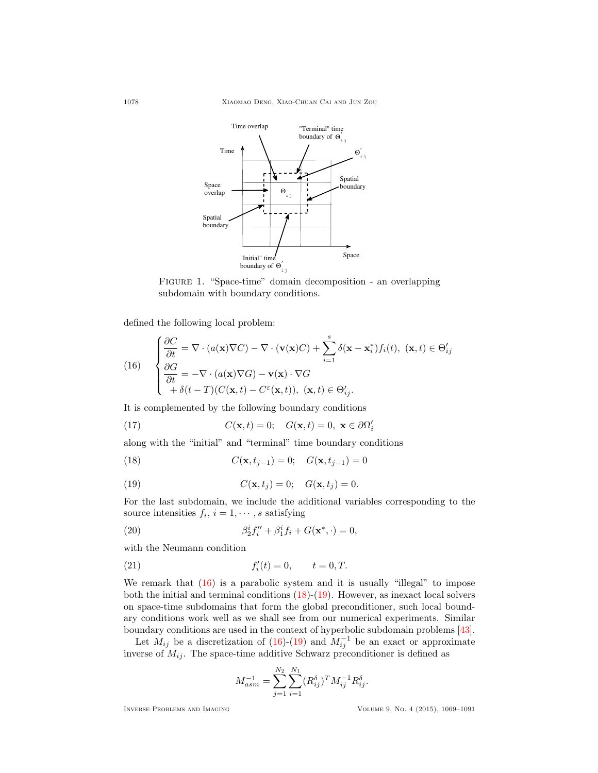

<span id="page-9-0"></span>Figure 1. "Space-time" domain decomposition - an overlapping subdomain with boundary conditions.

defined the following local problem:

<span id="page-9-1"></span>(16) 
$$
\begin{cases} \frac{\partial C}{\partial t} = \nabla \cdot (a(\mathbf{x}) \nabla C) - \nabla \cdot (\mathbf{v}(\mathbf{x}) C) + \sum_{i=1}^{s} \delta(\mathbf{x} - \mathbf{x}_{i}^{*}) f_{i}(t), \ (\mathbf{x}, t) \in \Theta'_{ij} \\ \frac{\partial G}{\partial t} = -\nabla \cdot (a(\mathbf{x}) \nabla G) - \mathbf{v}(\mathbf{x}) \cdot \nabla G \\ + \delta(t - T) (C(\mathbf{x}, t) - C^{\varepsilon}(\mathbf{x}, t)), \ (\mathbf{x}, t) \in \Theta'_{ij}. \end{cases}
$$

It is complemented by the following boundary conditions

(17) 
$$
C(\mathbf{x},t) = 0; \quad G(\mathbf{x},t) = 0, \ \mathbf{x} \in \partial \Omega_i'
$$

along with the "initial" and "terminal" time boundary conditions

<span id="page-9-2"></span>(18) 
$$
C(\mathbf{x}, t_{j-1}) = 0; \quad G(\mathbf{x}, t_{j-1}) = 0
$$

<span id="page-9-3"></span>(19) 
$$
C(\mathbf{x}, t_j) = 0; \quad G(\mathbf{x}, t_j) = 0.
$$

For the last subdomain, we include the additional variables corresponding to the source intensities  $f_i$ ,  $i = 1, \dots, s$  satisfying

<span id="page-9-4"></span>(20) 
$$
\beta_2^i f''_i + \beta_1^i f_i + G(\mathbf{x}^*, \cdot) = 0,
$$

with the Neumann condition

(21) 
$$
f'_i(t) = 0, \qquad t = 0, T.
$$

We remark that  $(16)$  is a parabolic system and it is usually "illegal" to impose both the initial and terminal conditions  $(18)-(19)$  $(18)-(19)$ . However, as inexact local solvers on space-time subdomains that form the global preconditioner, such local boundary conditions work well as we shall see from our numerical experiments. Similar boundary conditions are used in the context of hyperbolic subdomain problems [\[43\]](#page-22-11).

Let  $M_{ij}$  be a discretization of [\(16\)](#page-9-1)-[\(19\)](#page-9-3) and  $M_{ij}^{-1}$  be an exact or approximate inverse of  $M_{ij}$ . The space-time additive Schwarz preconditioner is defined as

<span id="page-9-5"></span>
$$
M_{asm}^{-1} = \sum_{j=1}^{N_2} \sum_{i=1}^{N_1} (R_{ij}^{\delta})^T M_{ij}^{-1} R_{ij}^{\delta}.
$$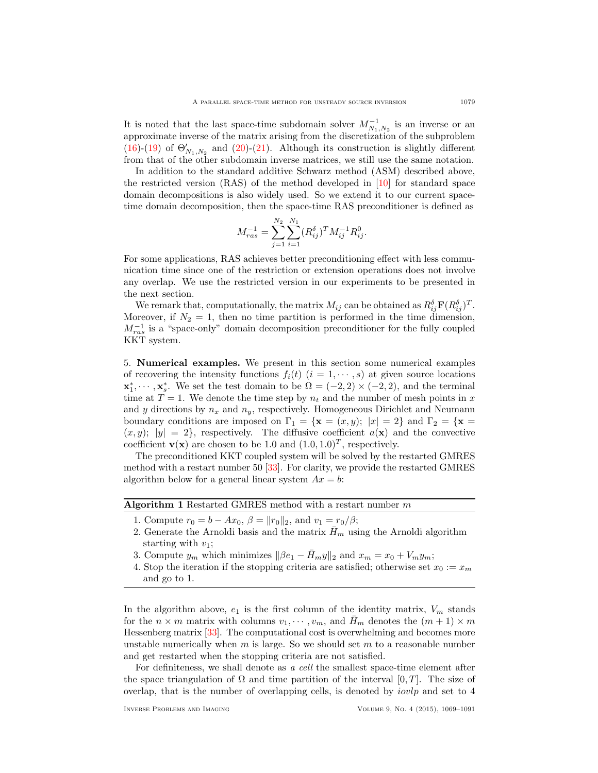It is noted that the last space-time subdomain solver  $M_{N_1,N_2}^{-1}$  is an inverse or an approximate inverse of the matrix arising from the discretization of the subproblem [\(16\)](#page-9-1)-[\(19\)](#page-9-3) of  $\Theta'_{N_1,N_2}$  and [\(20\)](#page-9-4)-[\(21\)](#page-9-5). Although its construction is slightly different from that of the other subdomain inverse matrices, we still use the same notation.

In addition to the standard additive Schwarz method (ASM) described above, the restricted version (RAS) of the method developed in [\[10\]](#page-21-23) for standard space domain decompositions is also widely used. So we extend it to our current spacetime domain decomposition, then the space-time RAS preconditioner is defined as

$$
M_{ras}^{-1} = \sum_{j=1}^{N_2} \sum_{i=1}^{N_1} (R_{ij}^{\delta})^T M_{ij}^{-1} R_{ij}^0.
$$

For some applications, RAS achieves better preconditioning effect with less communication time since one of the restriction or extension operations does not involve any overlap. We use the restricted version in our experiments to be presented in the next section.

We remark that, computationally, the matrix  $M_{ij}$  can be obtained as  $R_{ij}^{\delta} \mathbf{F}(R_{ij}^{\delta})^T$ . Moreover, if  $N_2 = 1$ , then no time partition is performed in the time dimension,  $M_{ras}^{-1}$  is a "space-only" domain decomposition preconditioner for the fully coupled KKT system.

<span id="page-10-0"></span>5. Numerical examples. We present in this section some numerical examples of recovering the intensity functions  $f_i(t)$   $(i = 1, \dots, s)$  at given source locations  $\mathbf{x}_1^*, \cdots, \mathbf{x}_s^*$ . We set the test domain to be  $\Omega = (-2, 2) \times (-2, 2)$ , and the terminal time at  $T = 1$ . We denote the time step by  $n_t$  and the number of mesh points in x and y directions by  $n_x$  and  $n_y$ , respectively. Homogeneous Dirichlet and Neumann boundary conditions are imposed on  $\Gamma_1 = {\mathbf{x} = (x, y); |x| = 2}$  and  $\Gamma_2 = {\mathbf{x} = (x, y)}$  $(x, y);$   $|y| = 2$ , respectively. The diffusive coefficient  $a(\mathbf{x})$  and the convective coefficient **v**(**x**) are chosen to be 1.0 and  $(1.0, 1.0)^T$ , respectively.

The preconditioned KKT coupled system will be solved by the restarted GMRES method with a restart number 50 [\[33\]](#page-21-24). For clarity, we provide the restarted GMRES algorithm below for a general linear system  $Ax = b$ :

Algorithm 1 Restarted GMRES method with a restart number  $m$ 

- 1. Compute  $r_0 = b Ax_0$ ,  $\beta = ||r_0||_2$ , and  $v_1 = r_0/\beta$ ;
- 2. Generate the Arnoldi basis and the matrix  $\bar{H}_m$  using the Arnoldi algorithm starting with  $v_1$ ;
- 3. Compute  $y_m$  which minimizes  $\|\beta e_1 \bar{H}_m y\|_2$  and  $x_m = x_0 + V_m y_m$ ;
- 4. Stop the iteration if the stopping criteria are satisfied; otherwise set  $x_0 := x_m$ and go to 1.

In the algorithm above,  $e_1$  is the first column of the identity matrix,  $V_m$  stands for the  $n \times m$  matrix with columns  $v_1, \dots, v_m$ , and  $H_m$  denotes the  $(m + 1) \times m$ Hessenberg matrix [\[33\]](#page-21-24). The computational cost is overwhelming and becomes more unstable numerically when  $m$  is large. So we should set  $m$  to a reasonable number and get restarted when the stopping criteria are not satisfied.

For definiteness, we shall denote as a cell the smallest space-time element after the space triangulation of  $\Omega$  and time partition of the interval  $[0, T]$ . The size of overlap, that is the number of overlapping cells, is denoted by *iovlp* and set to  $4$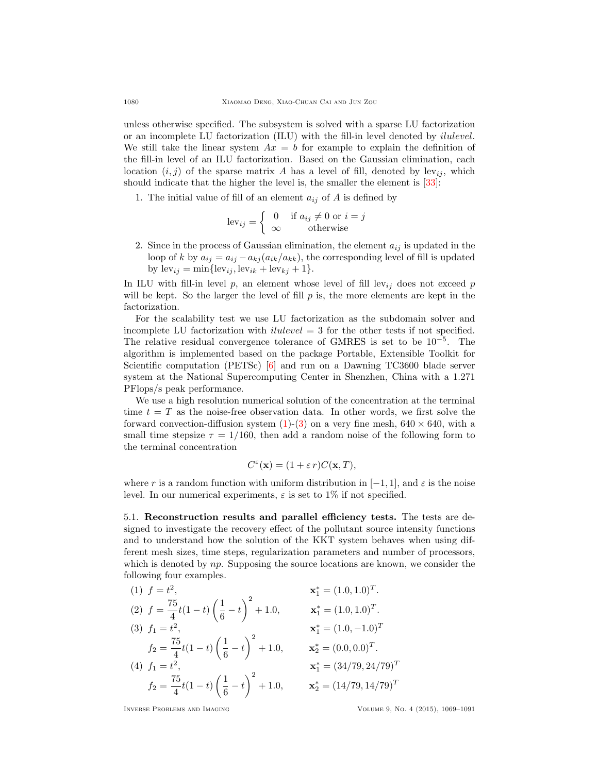unless otherwise specified. The subsystem is solved with a sparse LU factorization or an incomplete LU factorization (ILU) with the fill-in level denoted by ilulevel. We still take the linear system  $Ax = b$  for example to explain the definition of the fill-in level of an ILU factorization. Based on the Gaussian elimination, each location  $(i, j)$  of the sparse matrix A has a level of fill, denoted by lev<sub>ij</sub>, which should indicate that the higher the level is, the smaller the element is [\[33\]](#page-21-24):

1. The initial value of fill of an element  $a_{ij}$  of A is defined by

$$
lev_{ij} = \begin{cases} 0 & \text{if } a_{ij} \neq 0 \text{ or } i = j \\ \infty & \text{otherwise} \end{cases}
$$

2. Since in the process of Gaussian elimination, the element  $a_{ij}$  is updated in the loop of k by  $a_{ij} = a_{ij} - a_{kj} (a_{ik}/a_{kk})$ , the corresponding level of fill is updated by  $lev_{ij} = min{lev_{ij}, lev_{ik} + lev_{kj} + 1}.$ 

In ILU with fill-in level  $p$ , an element whose level of fill lev<sub>ij</sub> does not exceed  $p$ will be kept. So the larger the level of fill  $p$  is, the more elements are kept in the factorization.

For the scalability test we use LU factorization as the subdomain solver and incomplete LU factorization with *ilulevel*  $=$  3 for the other tests if not specified. The relative residual convergence tolerance of GMRES is set to be  $10^{-5}$ . The algorithm is implemented based on the package Portable, Extensible Toolkit for Scientific computation (PETSc) [\[6\]](#page-20-7) and run on a Dawning TC3600 blade server system at the National Supercomputing Center in Shenzhen, China with a 1.271 PFlops/s peak performance.

We use a high resolution numerical solution of the concentration at the terminal time  $t = T$  as the noise-free observation data. In other words, we first solve the forward convection-diffusion system  $(1)-(3)$  $(1)-(3)$  on a very fine mesh,  $640 \times 640$ , with a small time stepsize  $\tau = 1/160$ , then add a random noise of the following form to the terminal concentration

$$
C^{\varepsilon}(\mathbf{x}) = (1 + \varepsilon r)C(\mathbf{x}, T),
$$

where r is a random function with uniform distribution in  $[-1, 1]$ , and  $\varepsilon$  is the noise level. In our numerical experiments,  $\varepsilon$  is set to 1% if not specified.

5.1. Reconstruction results and parallel efficiency tests. The tests are designed to investigate the recovery effect of the pollutant source intensity functions and to understand how the solution of the KKT system behaves when using different mesh sizes, time steps, regularization parameters and number of processors, which is denoted by  $np$ . Supposing the source locations are known, we consider the following four examples.

(1) 
$$
f = t^2
$$
,  
\n(2)  $f = \frac{75}{4}t(1-t)\left(\frac{1}{6}-t\right)^2 + 1.0$ ,  
\n(3)  $f_1 = t^2$ ,  
\n $f_2 = \frac{75}{4}t(1-t)\left(\frac{1}{6}-t\right)^2 + 1.0$ ,  
\n(4)  $f_1 = t^2$ ,  
\n $f_2 = \frac{75}{4}t(1-t)\left(\frac{1}{6}-t\right)^2 + 1.0$ ,  
\n $f_2 = \frac{75}{4}t(1-t)\left(\frac{1}{6}-t\right)^2 + 1.0$ ,  
\n $f_2 = \frac{75}{4}t(1-t)\left(\frac{1}{6}-t\right)^2 + 1.0$ ,  
\n $f_2 = \frac{75}{4}t(1-t)\left(\frac{1}{6}-t\right)^2 + 1.0$ ,  
\n $f_2 = \frac{75}{4}t(1-t)\left(\frac{1}{6}-t\right)^2 + 1.0$ ,  
\n $f_2 = \frac{75}{4}t(1-t)\left(\frac{1}{6}-t\right)^2 + 1.0$ ,  
\n $f_2 = \frac{75}{4}t(1-t)\left(\frac{1}{6}-t\right)^2 + 1.0$ ,  
\n $f_2 = \frac{75}{4}t(1-t)\left(\frac{1}{6}-t\right)^2 + 1.0$ ,  
\n $f_2 = \frac{75}{4}t(1-t)\left(\frac{1}{6}-t\right)^2 + 1.0$ ,  
\n $f_2 = \frac{75}{4}t(1-t)\left(\frac{1}{6}-t\right)^2 + 1.0$ ,  
\n $f_2 = \frac{75}{4}t(1-t)\left(\frac{1}{6}-t\right)^2 + 1.0$ ,  
\n $f_2 = \frac{75}{4}t(1-t)\left(\frac{1}{6}-t\right)^2 + 1.0$ ,  
\n $f_2 = \frac{75}{4}t(1-t)\left(\frac{1}{6}-t\right)^2 + 1.0$ ,  
\n $f_2 = \frac{75}{4}t(1-t)\left(\frac{1}{6}-t\right)^2 + 1.0$ ,  
\n $f_2$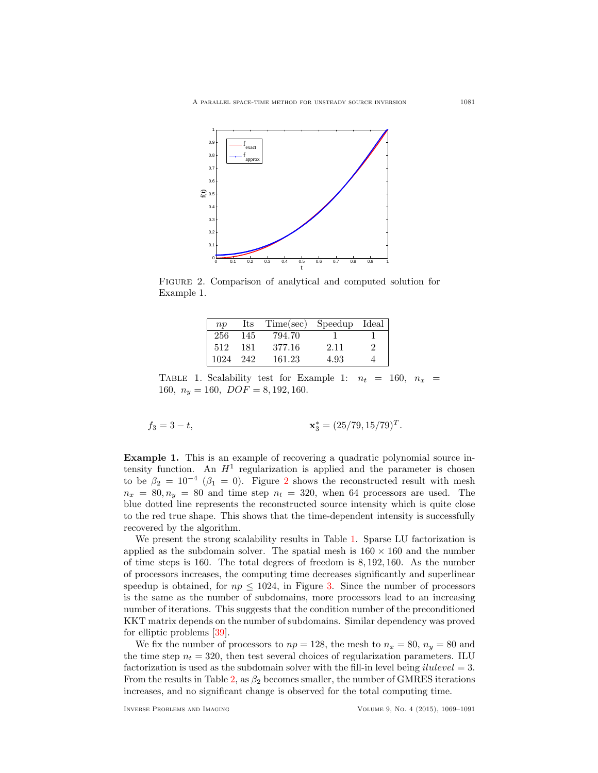

Figure 2. Comparison of analytical and computed solution for Example 1.

<span id="page-12-0"></span>

| $\overline{np}$ | Its | Time(sec) | Speedup | Ideal |
|-----------------|-----|-----------|---------|-------|
| 256             | 145 | 794.70    |         |       |
| 512             | 181 | 377.16    | 2.11    | 2     |
| 1024            | 242 | 161.23    | 4.93    |       |

<span id="page-12-1"></span>TABLE 1. Scalability test for Example 1:  $n_t = 160$ ,  $n_x =$ 160,  $n_y = 160$ ,  $DOF = 8, 192, 160$ .

$$
f_3 = 3 - t,
$$
  

$$
\mathbf{x}_3^* = (25/79, 15/79)^T
$$

Example 1. This is an example of recovering a quadratic polynomial source intensity function. An  $H^1$  regularization is applied and the parameter is chosen to be  $\beta_2 = 10^{-4}$  $\beta_2 = 10^{-4}$  $\beta_2 = 10^{-4}$  ( $\beta_1 = 0$ ). Figure 2 shows the reconstructed result with mesh  $n_x = 80, n_y = 80$  and time step  $n_t = 320$ , when 64 processors are used. The blue dotted line represents the reconstructed source intensity which is quite close to the red true shape. This shows that the time-dependent intensity is successfully recovered by the algorithm.

We present the strong scalability results in Table [1.](#page-12-1) Sparse LU factorization is applied as the subdomain solver. The spatial mesh is  $160 \times 160$  and the number of time steps is 160. The total degrees of freedom is 8, 192, 160. As the number of processors increases, the computing time decreases significantly and superlinear speedup is obtained, for  $np \leq 1024$ , in Figure [3.](#page-13-0) Since the number of processors is the same as the number of subdomains, more processors lead to an increasing number of iterations. This suggests that the condition number of the preconditioned KKT matrix depends on the number of subdomains. Similar dependency was proved for elliptic problems [\[39\]](#page-22-12).

We fix the number of processors to  $np = 128$ , the mesh to  $n_x = 80$ ,  $n_y = 80$  and the time step  $n_t = 320$ , then test several choices of regularization parameters. ILU factorization is used as the subdomain solver with the fill-in level being *ilulevel* = 3. From the results in Table [2,](#page-13-1) as  $\beta_2$  becomes smaller, the number of GMRES iterations increases, and no significant change is observed for the total computing time.

.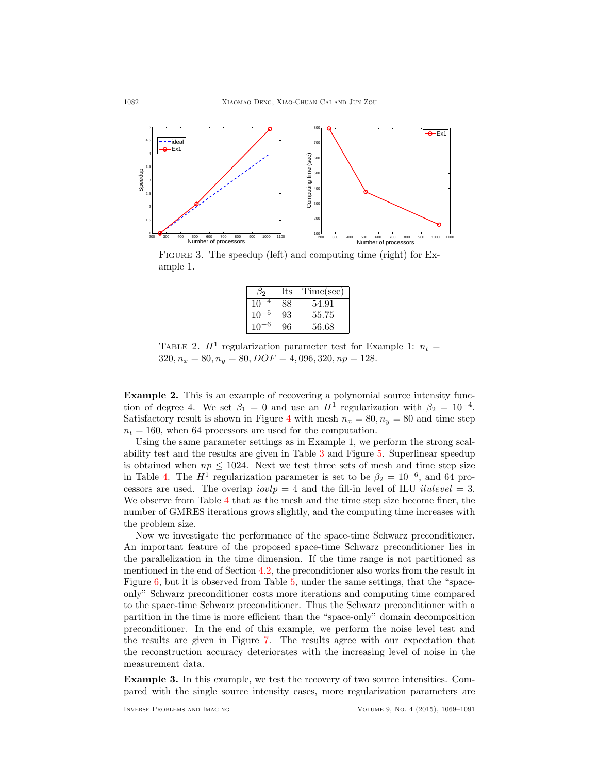

<span id="page-13-0"></span>FIGURE 3. The speedup (left) and computing time (right) for Example 1.

| B2           | Its | Time(sec) |
|--------------|-----|-----------|
| $10^{\circ}$ | 88  | 54.91     |
| $10^{-5}$    | 93  | 55.75     |
| $10^{-}$     | 96  | 56.68     |

<span id="page-13-1"></span>TABLE 2.  $H^1$  regularization parameter test for Example 1:  $n_t =$  $320, n_x = 80, n_y = 80, DOF = 4,096, 320, np = 128.$ 

Example 2. This is an example of recovering a polynomial source intensity function of degree 4. We set  $\beta_1 = 0$  and use an  $H^1$  regularization with  $\beta_2 = 10^{-4}$ . Satisfactory result is shown in Figure [4](#page-14-0) with mesh  $n_x = 80, n_y = 80$  and time step  $n_t = 160$ , when 64 processors are used for the computation.

Using the same parameter settings as in Example 1, we perform the strong scalability test and the results are given in Table [3](#page-14-1) and Figure [5.](#page-14-2) Superlinear speedup is obtained when  $np \leq 1024$ . Next we test three sets of mesh and time step size in Table [4.](#page-14-3) The  $H^1$  regularization parameter is set to be  $\beta_2 = 10^{-6}$ , and 64 processors are used. The overlap  $iovlp = 4$  and the fill-in level of ILU *ilulevel* = 3. We observe from Table [4](#page-14-3) that as the mesh and the time step size become finer, the number of GMRES iterations grows slightly, and the computing time increases with the problem size.

Now we investigate the performance of the space-time Schwarz preconditioner. An important feature of the proposed space-time Schwarz preconditioner lies in the parallelization in the time dimension. If the time range is not partitioned as mentioned in the end of Section [4.2,](#page-7-0) the preconditioner also works from the result in Figure [6,](#page-15-0) but it is observed from Table [5,](#page-15-1) under the same settings, that the "spaceonly" Schwarz preconditioner costs more iterations and computing time compared to the space-time Schwarz preconditioner. Thus the Schwarz preconditioner with a partition in the time is more efficient than the "space-only" domain decomposition preconditioner. In the end of this example, we perform the noise level test and the results are given in Figure [7.](#page-15-2) The results agree with our expectation that the reconstruction accuracy deteriorates with the increasing level of noise in the measurement data.

Example 3. In this example, we test the recovery of two source intensities. Compared with the single source intensity cases, more regularization parameters are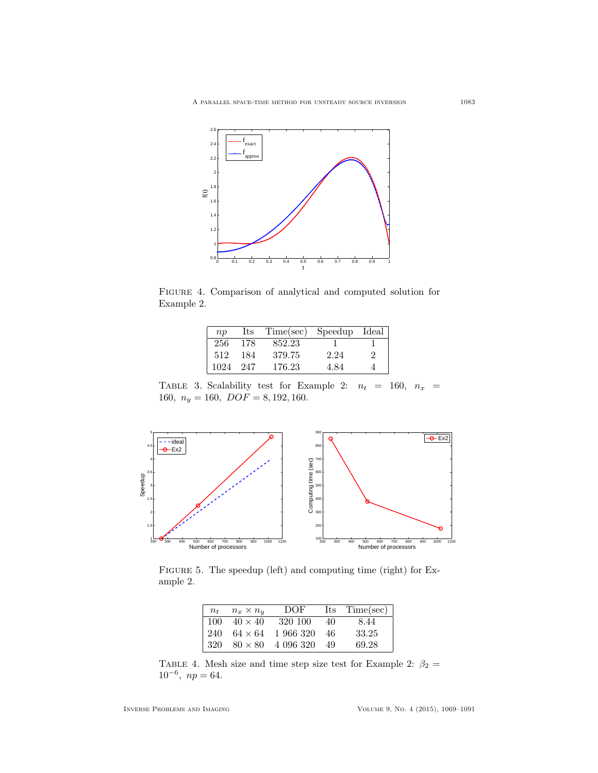

Figure 4. Comparison of analytical and computed solution for Example 2.

<span id="page-14-0"></span>

| n p  | Its | Time(sec) | Speedup | Ideal |
|------|-----|-----------|---------|-------|
| 256  | 178 | 852.23    |         |       |
| 512  | 184 | 379.75    | 2.24    | 2     |
| 1024 | 247 | 176.23    | 4.84    |       |

<span id="page-14-1"></span>TABLE 3. Scalability test for Example 2:  $n_t = 160$ ,  $n_x =$ 160,  $n_y = 160, DOF = 8, 192, 160.$ 



FIGURE 5. The speedup (left) and computing time (right) for Example 2.

<span id="page-14-2"></span>

| $n_{t}$ | $n_x \times n_u$ | DOF.      |    | Its Time(sec) |
|---------|------------------|-----------|----|---------------|
| 100     | $40 \times 40$   | 320 100   | 40 | 8.44          |
| 240     | $64 \times 64$   | 1 966 320 | 46 | 33.25         |
| 320     | $80 \times 80$   | 4 096 320 | 49 | 69.28         |

<span id="page-14-3"></span>TABLE 4. Mesh size and time step size test for Example 2:  $\beta_2 =$  $10^{-6}$ ,  $np = 64$ .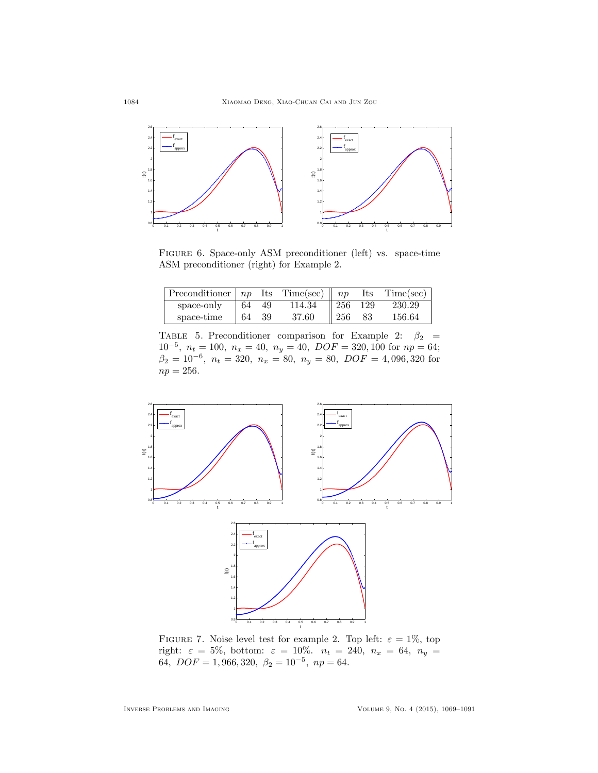

<span id="page-15-0"></span>Figure 6. Space-only ASM preconditioner (left) vs. space-time ASM preconditioner (right) for Example 2.

| Preconditioner $ np $ Its Time(sec) $  np  $ |     |      |        |                 | $\operatorname{Its}$ | Time(sec) |
|----------------------------------------------|-----|------|--------|-----------------|----------------------|-----------|
| space-only                                   | -64 | 49   | 114.34 | $\parallel$ 256 | - 129                | 230.29    |
| space-time                                   | -64 | - 39 | 37.60  | $\parallel$ 256 | 83                   | 156.64    |

<span id="page-15-1"></span>TABLE 5. Preconditioner comparison for Example 2:  $\beta_2$  =  $10^{-5}$ ,  $n_t = 100$ ,  $n_x = 40$ ,  $n_y = 40$ ,  $DOF = 320, 100$  for  $np = 64$ ;  $\beta_2 = 10^{-6}, n_t = 320, n_x = 80, n_y = 80, DOF = 4,096,320$  for  $np = 256.$ 



<span id="page-15-2"></span>FIGURE 7. Noise level test for example 2. Top left:  $\varepsilon = 1\%$ , top right:  $\varepsilon = 5\%, \text{ bottom: } \varepsilon = 10\%. \quad n_t = 240, \; n_x = 64, \; n_y = 1$ 64,  $DOF = 1,966,320, \ \beta_2 = 10^{-5}, \ np = 64.$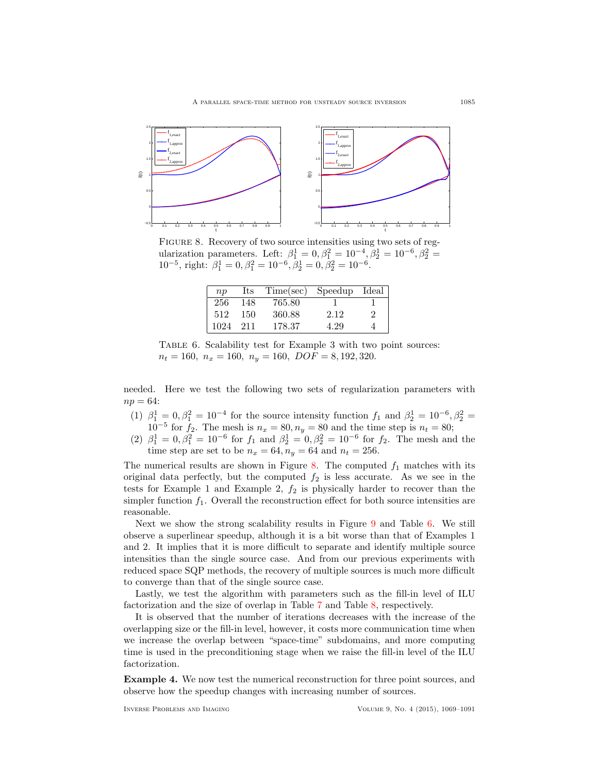

<span id="page-16-0"></span>FIGURE 8. Recovery of two source intensities using two sets of regularization parameters. Left:  $\beta_1^1 = 0, \beta_1^2 = 10^{-4}, \beta_2^1 = 10^{-6}, \beta_2^2 =$  $10^{-5}$ , right:  $\beta_1^1 = 0$ ,  $\beta_1^2 = 10^{-6}$ ,  $\beta_2^1 = 0$ ,  $\beta_2^2 = 10^{-6}$ .

| $\overline{np}$ | Its | Time(sec) | Speedup | Ideal |
|-----------------|-----|-----------|---------|-------|
| 256             | 148 | 765.80    |         |       |
| 512             | 150 | 360.88    | 2.12    | 2     |
| 1024            | 211 | 178.37    | 4.29    |       |

<span id="page-16-1"></span>Table 6. Scalability test for Example 3 with two point sources:  $n_t = 160$ ,  $n_x = 160$ ,  $n_y = 160$ ,  $DOF = 8, 192, 320$ .

needed. Here we test the following two sets of regularization parameters with  $np = 64$ :

- (1)  $\beta_1^1 = 0, \beta_1^2 = 10^{-4}$  for the source intensity function  $f_1$  and  $\beta_2^1 = 10^{-6}, \beta_2^2 =$  $10^{-5}$  for  $f_2$ . The mesh is  $n_x = 80, n_y = 80$  and the time step is  $n_t = 80$ ;
- (2)  $\beta_1^1 = 0, \beta_1^2 = 10^{-6}$  for  $f_1$  and  $\beta_2^1 = 0, \beta_2^2 = 10^{-6}$  for  $f_2$ . The mesh and the time step are set to be  $n_x = 64$ ,  $n_y = 64$  and  $n_t = 256$ .

The numerical results are shown in Figure [8.](#page-16-0) The computed  $f_1$  matches with its original data perfectly, but the computed  $f_2$  is less accurate. As we see in the tests for Example 1 and Example 2,  $f_2$  is physically harder to recover than the simpler function  $f_1$ . Overall the reconstruction effect for both source intensities are reasonable.

Next we show the strong scalability results in Figure [9](#page-17-0) and Table [6.](#page-16-1) We still observe a superlinear speedup, although it is a bit worse than that of Examples 1 and 2. It implies that it is more difficult to separate and identify multiple source intensities than the single source case. And from our previous experiments with reduced space SQP methods, the recovery of multiple sources is much more difficult to converge than that of the single source case.

Lastly, we test the algorithm with parameters such as the fill-in level of ILU factorization and the size of overlap in Table [7](#page-17-1) and Table [8,](#page-17-2) respectively.

It is observed that the number of iterations decreases with the increase of the overlapping size or the fill-in level, however, it costs more communication time when we increase the overlap between "space-time" subdomains, and more computing time is used in the preconditioning stage when we raise the fill-in level of the ILU factorization.

Example 4. We now test the numerical reconstruction for three point sources, and observe how the speedup changes with increasing number of sources.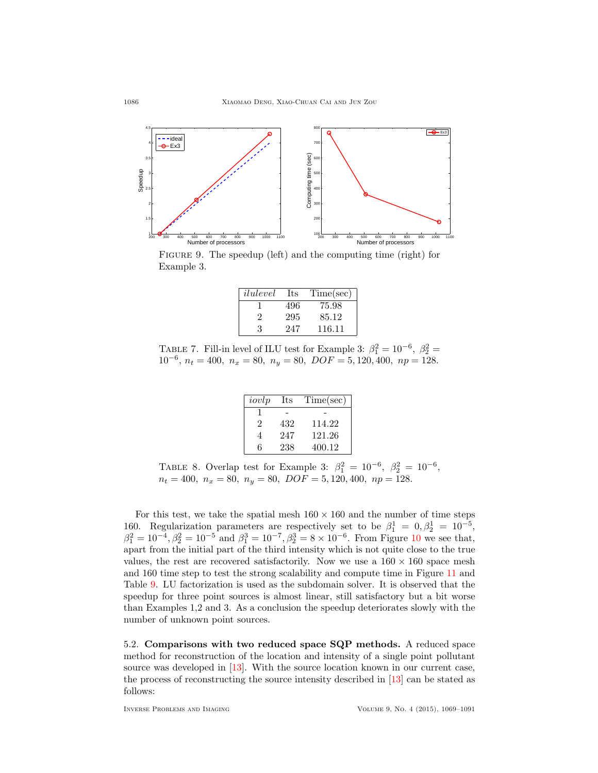

<span id="page-17-0"></span>FIGURE 9. The speedup (left) and the computing time (right) for Example 3.

| ilulevel | Its | Time(sec) |
|----------|-----|-----------|
|          | 496 | 75.98     |
| 2        | 295 | 85.12     |
| К        | 247 | 116.11    |

<span id="page-17-1"></span>TABLE 7. Fill-in level of ILU test for Example 3:  $\beta_1^2 = 10^{-6}$ ,  $\beta_2^2 =$  $10^{-6}$ ,  $n_t = 400$ ,  $n_x = 80$ ,  $n_y = 80$ ,  $DOF = 5, 120, 400$ ,  $np = 128$ .

| iovlp          | Its | Time(sec) |
|----------------|-----|-----------|
|                |     |           |
| $\mathfrak{D}$ | 432 | 114.22    |
|                | 247 | 121.26    |
| հ              | 238 | 400.12    |

<span id="page-17-2"></span>TABLE 8. Overlap test for Example 3:  $\beta_1^2 = 10^{-6}$ ,  $\beta_2^2 = 10^{-6}$ ,  $n_t = 400$ ,  $n_x = 80$ ,  $n_y = 80$ ,  $DOF = 5, 120, 400$ ,  $np = 128$ .

For this test, we take the spatial mesh  $160 \times 160$  and the number of time steps 160. Regularization parameters are respectively set to be  $\beta_1^1 = 0, \beta_2^1 = 10^{-5}$ ,  $\beta_1^2 = 10^{-4}, \beta_2^2 = 10^{-5}$  $\beta_1^2 = 10^{-4}, \beta_2^2 = 10^{-5}$  $\beta_1^2 = 10^{-4}, \beta_2^2 = 10^{-5}$  and  $\beta_1^3 = 10^{-7}, \beta_2^3 = 8 \times 10^{-6}$ . From Figure 10 we see that, apart from the initial part of the third intensity which is not quite close to the true values, the rest are recovered satisfactorily. Now we use a  $160 \times 160$  space mesh and 160 time step to test the strong scalability and compute time in Figure [11](#page-18-1) and Table [9.](#page-18-2) LU factorization is used as the subdomain solver. It is observed that the speedup for three point sources is almost linear, still satisfactory but a bit worse than Examples 1,2 and 3. As a conclusion the speedup deteriorates slowly with the number of unknown point sources.

5.2. Comparisons with two reduced space SQP methods. A reduced space method for reconstruction of the location and intensity of a single point pollutant source was developed in [\[13\]](#page-21-17). With the source location known in our current case, the process of reconstructing the source intensity described in [\[13\]](#page-21-17) can be stated as follows: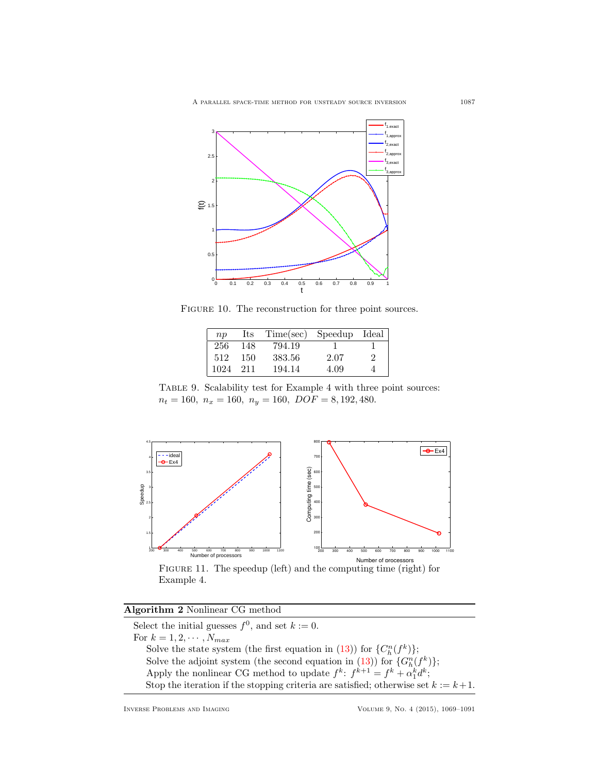

FIGURE 10. The reconstruction for three point sources.

<span id="page-18-0"></span>

| $\overline{np}$ | Its | Time(sec) | Speedup | Ideal |
|-----------------|-----|-----------|---------|-------|
| 256             | 148 | 794.19    |         |       |
| 512             | 150 | 383.56    | 2.07    | 2     |
| 1024            | 211 | 194.14    | 4.09    |       |

<span id="page-18-2"></span>Table 9. Scalability test for Example 4 with three point sources:  $n_t = 160$ ,  $n_x = 160$ ,  $n_y = 160$ ,  $DOF = 8, 192, 480$ .



<span id="page-18-1"></span>Figure 11. The speedup (left) and the computing time (right) for Example 4.

| Algorithm 2 Nonlinear CG method |  |  |  |  |
|---------------------------------|--|--|--|--|
|---------------------------------|--|--|--|--|

Select the initial guesses  $f^0$ , and set  $k := 0$ . For  $k = 1, 2, \cdots, N_{max}$ Solve the state system (the first equation in [\(13\)](#page-5-1)) for  ${C_n^n(f^k)}$ ; Solve the adjoint system (the second equation in [\(13\)](#page-5-1)) for  $\{G_h^n(f^k)\};$ Apply the nonlinear CG method to update  $f^k$ :  $f^{k+1} = f^k + \alpha_1^k d^k$ ; Stop the iteration if the stopping criteria are satisfied; otherwise set  $k := k+1$ .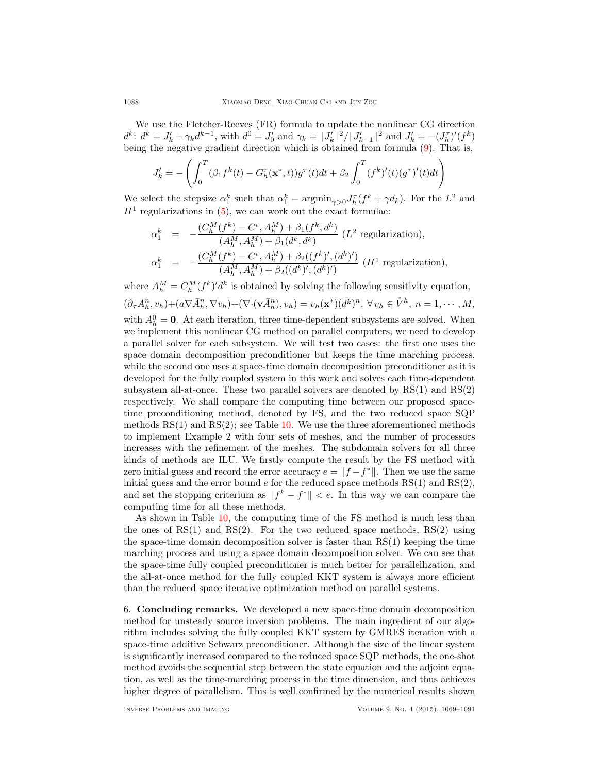We use the Fletcher-Reeves (FR) formula to update the nonlinear CG direction  $d^k$ :  $d^k = J'_k + \gamma_k d^{k-1}$ , with  $d^0 = J'_0$  and  $\gamma_k = ||J'_k||^2/||J'_{k-1}||^2$  and  $J'_k = -(J_h^{\tau})'(f^k)$ being the negative gradient direction which is obtained from formula [\(9\)](#page-4-1). That is,

$$
J'_{k} = -\left(\int_{0}^{T} (\beta_{1} f^{k}(t) - G_{h}^{\tau}(\mathbf{x}^{*}, t)) g^{\tau}(t) dt + \beta_{2} \int_{0}^{T} (f^{k})'(t) (g^{\tau})'(t) dt\right)
$$

We select the stepsize  $\alpha_1^k$  such that  $\alpha_1^k = \operatorname{argmin}_{\gamma>0} J_h^{\tau}(f^k + \gamma d_k)$ . For the  $L^2$  and  $H<sup>1</sup>$  regularizations in [\(5\)](#page-2-5), we can work out the exact formulae:

$$
\alpha_1^k = -\frac{(C_h^M(f^k) - C^{\epsilon}, A_h^M) + \beta_1(f^k, d^k)}{(A_h^M, A_h^M) + \beta_1(d^k, d^k)} (L^2 \text{ regularization}),
$$
  
\n
$$
\alpha_1^k = -\frac{(C_h^M(f^k) - C^{\epsilon}, A_h^M) + \beta_2((f^k)', (d^k)')}{(A_h^M, A_h^M) + \beta_2((d^k)', (d^k)')}(H^1 \text{ regularization}),
$$

where  $A_h^M = C_h^M (f^k)' d^k$  is obtained by solving the following sensitivity equation,

$$
(\partial_{\tau} A_h^n, v_h) + (a \nabla \bar{A}_h^n, \nabla v_h) + (\nabla \cdot (\mathbf{v} \bar{A}_h^n), v_h) = v_h(\mathbf{x}^*)(\bar{d}^k)^n, \forall v_h \in \mathring{V}^h, n = 1, \cdots, M,
$$

with  $A_h^0 = 0$ . At each iteration, three time-dependent subsystems are solved. When we implement this nonlinear CG method on parallel computers, we need to develop a parallel solver for each subsystem. We will test two cases: the first one uses the space domain decomposition preconditioner but keeps the time marching process, while the second one uses a space-time domain decomposition preconditioner as it is developed for the fully coupled system in this work and solves each time-dependent subsystem all-at-once. These two parallel solvers are denoted by  $RS(1)$  and  $RS(2)$ respectively. We shall compare the computing time between our proposed spacetime preconditioning method, denoted by FS, and the two reduced space SQP methods  $RS(1)$  and  $RS(2)$ ; see Table [10.](#page-20-8) We use the three aforementioned methods to implement Example 2 with four sets of meshes, and the number of processors increases with the refinement of the meshes. The subdomain solvers for all three kinds of methods are ILU. We firstly compute the result by the FS method with zero initial guess and record the error accuracy  $e = ||f - f^*||$ . Then we use the same initial guess and the error bound  $e$  for the reduced space methods  $RS(1)$  and  $RS(2)$ , and set the stopping criterium as  $||f^k - f^*|| < e$ . In this way we can compare the computing time for all these methods.

As shown in Table [10,](#page-20-8) the computing time of the FS method is much less than the ones of  $RS(1)$  and  $RS(2)$ . For the two reduced space methods,  $RS(2)$  using the space-time domain decomposition solver is faster than RS(1) keeping the time marching process and using a space domain decomposition solver. We can see that the space-time fully coupled preconditioner is much better for parallellization, and the all-at-once method for the fully coupled KKT system is always more efficient than the reduced space iterative optimization method on parallel systems.

<span id="page-19-0"></span>6. Concluding remarks. We developed a new space-time domain decomposition method for unsteady source inversion problems. The main ingredient of our algorithm includes solving the fully coupled KKT system by GMRES iteration with a space-time additive Schwarz preconditioner. Although the size of the linear system is significantly increased compared to the reduced space SQP methods, the one-shot method avoids the sequential step between the state equation and the adjoint equation, as well as the time-marching process in the time dimension, and thus achieves higher degree of parallelism. This is well confirmed by the numerical results shown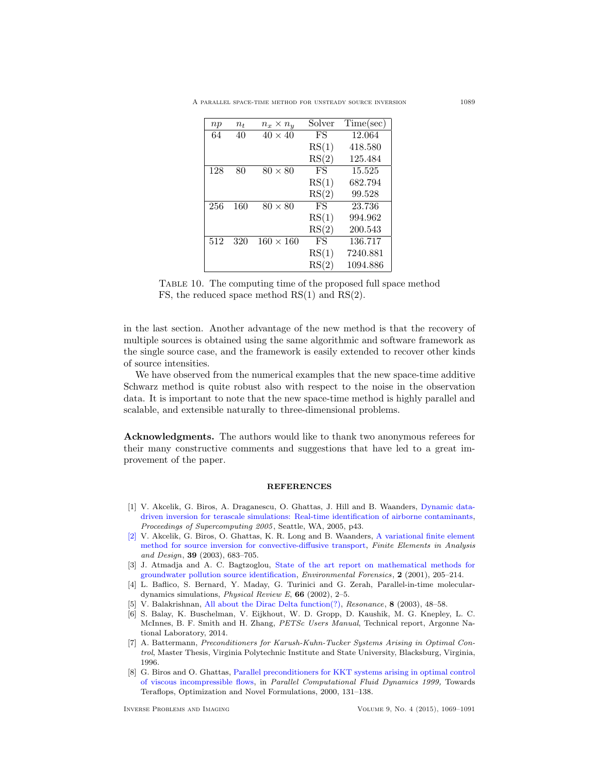A parallel space-time method for unsteady source inversion 1089

| np  | $n_{t}$ | $n_x \times n_u$ | Solver | Time(sec) |
|-----|---------|------------------|--------|-----------|
| 64  | 40      | $40 \times 40$   | FS.    | 12.064    |
|     |         |                  | RS(1)  | 418.580   |
|     |         |                  | RS(2)  | 125.484   |
| 128 | 80      | $80 \times 80$   | FS     | 15.525    |
|     |         |                  | RS(1)  | 682.794   |
|     |         |                  | RS(2)  | 99.528    |
| 256 | 160     | $80 \times 80$   | FS     | 23.736    |
|     |         |                  | RS(1)  | 994.962   |
|     |         |                  | RS(2)  | 200.543   |
| 512 | 320     | $160 \times 160$ | FS     | 136.717   |
|     |         |                  | RS(1)  | 7240.881  |
|     |         |                  | RS(2)  | 1094.886  |

<span id="page-20-8"></span>

|  |  |  |  | TABLE 10. The computing time of the proposed full space method |  |  |
|--|--|--|--|----------------------------------------------------------------|--|--|
|  |  |  |  | FS, the reduced space method $RS(1)$ and $RS(2)$ .             |  |  |

in the last section. Another advantage of the new method is that the recovery of multiple sources is obtained using the same algorithmic and software framework as the single source case, and the framework is easily extended to recover other kinds of source intensities.

We have observed from the numerical examples that the new space-time additive Schwarz method is quite robust also with respect to the noise in the observation data. It is important to note that the new space-time method is highly parallel and scalable, and extensible naturally to three-dimensional problems.

Acknowledgments. The authors would like to thank two anonymous referees for their many constructive comments and suggestions that have led to a great improvement of the paper.

#### **REFERENCES**

- <span id="page-20-2"></span>[1] V. Akcelik, G. Biros, A. Draganescu, O. Ghattas, J. Hill and B. Waanders, [Dynamic data](http://dx.doi.org/10.1109/SC.2005.25)[driven inversion for terascale simulations: Real-time identification of airborne contaminants,](http://dx.doi.org/10.1109/SC.2005.25) Proceedings of Supercomputing 2005, Seattle, WA, 2005, p43.
- <span id="page-20-1"></span>[\[2\]](http://www.ams.org/mathscinet-getitem?mr=MR1985391&return=pdf) V. Akcelik, G. Biros, O. Ghattas, K. R. Long and B. Waanders, [A variational finite element](http://dx.doi.org/10.1016/S0168-874X(03)00054-4) [method for source inversion for convective-diffusive transport,](http://dx.doi.org/10.1016/S0168-874X(03)00054-4) Finite Elements in Analysis and Design, 39 (2003), 683–705.
- <span id="page-20-0"></span>[3] J. Atmadja and A. C. Bagtzoglou, [State of the art report on mathematical methods for](http://dx.doi.org/10.1006/enfo.2001.0055) [groundwater pollution source identification,](http://dx.doi.org/10.1006/enfo.2001.0055) Environmental Forensics, 2 (2001), 205–214.
- <span id="page-20-6"></span>[4] L. Baflico, S. Bernard, Y. Maday, G. Turinici and G. Zerah, Parallel-in-time moleculardynamics simulations, *Physical Review E*,  $66$  (2002), 2–5.
- <span id="page-20-3"></span>[5] V. Balakrishnan, [All about the Dirac Delta function\(?\),](http://dx.doi.org/10.1007/BF02866759) Resonance, 8 (2003), 48–58.
- <span id="page-20-7"></span>[6] S. Balay, K. Buschelman, V. Eijkhout, W. D. Gropp, D. Kaushik, M. G. Knepley, L. C. McInnes, B. F. Smith and H. Zhang, PETSc Users Manual, Technical report, Argonne National Laboratory, 2014.
- <span id="page-20-4"></span>[7] A. Battermann, Preconditioners for Karush-Kuhn-Tucker Systems Arising in Optimal Control, Master Thesis, Virginia Polytechnic Institute and State University, Blacksburg, Virginia, 1996.
- <span id="page-20-5"></span>[8] G. Biros and O. Ghattas, [Parallel preconditioners for KKT systems arising in optimal control](http://dx.doi.org/10.1016/B978-044482851-4.50017-7) [of viscous incompressible flows,](http://dx.doi.org/10.1016/B978-044482851-4.50017-7) in Parallel Computational Fluid Dynamics 1999, Towards Teraflops, Optimization and Novel Formulations, 2000, 131–138.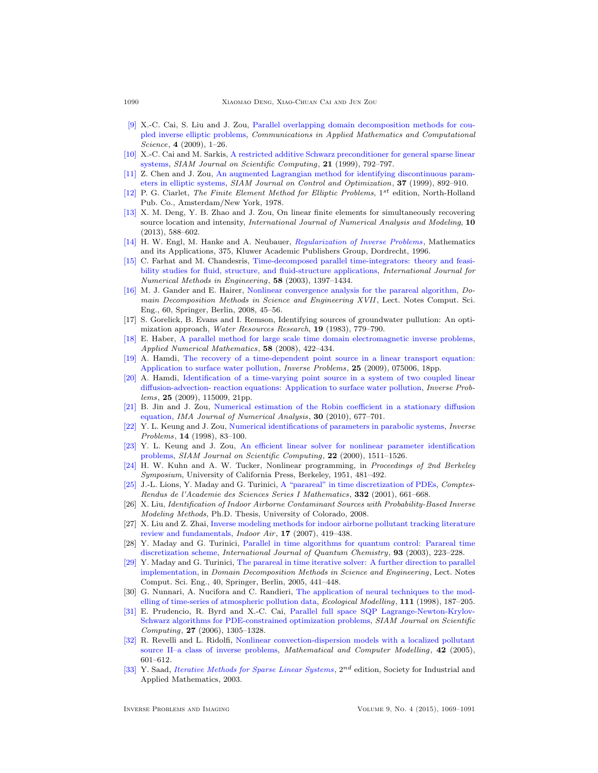- <span id="page-21-8"></span>[\[9\]](http://www.ams.org/mathscinet-getitem?mr=MR2516212&return=pdf) X.-C. Cai, S. Liu and J. Zou, [Parallel overlapping domain decomposition methods for cou](http://dx.doi.org/10.2140/camcos.2009.4.1)[pled inverse elliptic problems,](http://dx.doi.org/10.2140/camcos.2009.4.1) Communications in Applied Mathematics and Computational Science,  $4(2009)$ , 1–26.
- <span id="page-21-23"></span>[\[10\]](http://www.ams.org/mathscinet-getitem?mr=MR1718707&return=pdf) X.-C. Cai and M. Sarkis, [A restricted additive Schwarz preconditioner for general sparse linear](http://dx.doi.org/10.1137/S106482759732678X) [systems,](http://dx.doi.org/10.1137/S106482759732678X) SIAM Journal on Scientific Computing,  $21$  (1999), 792–797.
- <span id="page-21-14"></span>[\[11\]](http://www.ams.org/mathscinet-getitem?mr=MR1680814&return=pdf) Z. Chen and J. Zou, [An augmented Lagrangian method for identifying discontinuous param](http://dx.doi.org/10.1137/S0363012997318602)[eters in elliptic systems,](http://dx.doi.org/10.1137/S0363012997318602) SIAM Journal on Control and Optimization, 37 (1999), 892–910.
- <span id="page-21-15"></span>[\[12\]](http://www.ams.org/mathscinet-getitem?mr=MR0520174&return=pdf) P. G. Ciarlet, The Finite Element Method for Elliptic Problems,  $1^{st}$  edition, North-Holland Pub. Co., Amsterdam/New York, 1978.
- <span id="page-21-17"></span>[\[13\]](http://www.ams.org/mathscinet-getitem?mr=MR3064268&return=pdf) X. M. Deng, Y. B. Zhao and J. Zou, On linear finite elements for simultaneously recovering source location and intensity, International Journal of Numerical Analysis and Modeling, 10 (2013), 588–602.
- <span id="page-21-0"></span>[\[14\]](http://www.ams.org/mathscinet-getitem?mr=MR1408680&return=pdf) H. W. Engl, M. Hanke and A. Neubauer, [Regularization of Inverse Problems](http://dx.doi.org/10.1007/978-94-009-1740-8), Mathematics and its Applications, 375, Kluwer Academic Publishers Group, Dordrecht, 1996.
- <span id="page-21-20"></span>[\[15\]](http://www.ams.org/mathscinet-getitem?mr=MR2012613&return=pdf) C. Farhat and M. Chandesris, [Time-decomposed parallel time-integrators: theory and feasi](http://dx.doi.org/10.1002/nme.860)[bility studies for fluid, structure, and fluid-structure applications,](http://dx.doi.org/10.1002/nme.860) International Journal for Numerical Methods in Engineering, 58 (2003), 1397–1434.
- <span id="page-21-19"></span>[\[16\]](http://www.ams.org/mathscinet-getitem?mr=MR2427859&return=pdf) M. J. Gander and E. Hairer, [Nonlinear convergence analysis for the parareal algorithm,](http://dx.doi.org/10.1007/978-3-540-75199-1_4) Domain Decomposition Methods in Science and Engineering XVII , Lect. Notes Comput. Sci. Eng., 60, Springer, Berlin, 2008, 45–56.
- <span id="page-21-6"></span>[17] S. Gorelick, B. Evans and I. Remson, Identifying sources of groundwater pullution: An optimization approach, Water Resources Research, 19 (1983), 779–790.
- <span id="page-21-10"></span>[\[18\]](http://www.ams.org/mathscinet-getitem?mr=MR2397947&return=pdf) E. Haber, [A parallel method for large scale time domain electromagnetic inverse problems,](http://dx.doi.org/10.1016/j.apnum.2007.01.017) Applied Numerical Mathematics, 58 (2008), 422–434.
- <span id="page-21-2"></span>[\[19\]](http://www.ams.org/mathscinet-getitem?mr=MR2519858&return=pdf) A. Hamdi, [The recovery of a time-dependent point source in a linear transport equation:](http://dx.doi.org/10.1088/0266-5611/25/7/075006) [Application to surface water pollution,](http://dx.doi.org/10.1088/0266-5611/25/7/075006) Inverse Problems, 25 (2009), 075006, 18pp.
- <span id="page-21-3"></span>[\[20\]](http://www.ams.org/mathscinet-getitem?mr=MR2558669&return=pdf) A. Hamdi, [Identification of a time-varying point source in a system of two coupled linear](http://dx.doi.org/10.1088/0266-5611/25/11/115009) [diffusion-advection- reaction equations: Application to surface water pollution,](http://dx.doi.org/10.1088/0266-5611/25/11/115009) Inverse Problems, 25 (2009), 115009, 21pp.
- <span id="page-21-16"></span>[\[21\]](http://www.ams.org/mathscinet-getitem?mr=MR2670110&return=pdf) B. Jin and J. Zou, [Numerical estimation of the Robin coefficient in a stationary diffusion](http://dx.doi.org/10.1093/imanum/drn066) [equation,](http://dx.doi.org/10.1093/imanum/drn066) IMA Journal of Numerical Analysis, 30 (2010), 677–701.
- <span id="page-21-4"></span>[\[22\]](http://www.ams.org/mathscinet-getitem?mr=MR1607632&return=pdf) Y. L. Keung and J. Zou, [Numerical identifications of parameters in parabolic systems,](http://dx.doi.org/10.1088/0266-5611/14/1/009) Inverse Problems, 14 (1998), 83–100.
- <span id="page-21-5"></span>[\[23\]](http://www.ams.org/mathscinet-getitem?mr=MR1813283&return=pdf) Y. L. Keung and J. Zou, [An efficient linear solver for nonlinear parameter identification](http://dx.doi.org/10.1137/S1064827598346740) [problems,](http://dx.doi.org/10.1137/S1064827598346740) SIAM Journal on Scientific Computing, 22 (2000), 1511-1526.
- <span id="page-21-9"></span>[\[24\]](http://www.ams.org/mathscinet-getitem?mr=MR0047303&return=pdf) H. W. Kuhn and A. W. Tucker, Nonlinear programming, in Proceedings of 2nd Berkeley Symposium, University of California Press, Berkeley, 1951, 481–492.
- <span id="page-21-18"></span>[\[25\]](http://www.ams.org/mathscinet-getitem?mr=MR1842465&return=pdf) J.-L. Lions, Y. Maday and G. Turinici, [A "parareal" in time discretization of PDEs,](http://dx.doi.org/10.1016/S0764-4442(00)01793-6) Comptes-Rendus de l'Academie des Sciences Series I Mathematics, 332 (2001), 661-668.
- <span id="page-21-12"></span>[26] X. Liu, Identification of Indoor Airborne Contaminant Sources with Probability-Based Inverse Modeling Methods, Ph.D. Thesis, University of Colorado, 2008.
- <span id="page-21-1"></span>[27] X. Liu and Z. Zhai, [Inverse modeling methods for indoor airborne pollutant tracking literature](http://dx.doi.org/10.1111/j.1600-0668.2007.00497.x) [review and fundamentals,](http://dx.doi.org/10.1111/j.1600-0668.2007.00497.x) Indoor Air, 17 (2007), 419–438.
- <span id="page-21-21"></span>[28] Y. Maday and G. Turinici, [Parallel in time algorithms for quantum control: Parareal time](http://dx.doi.org/10.1002/qua.10554) [discretization scheme,](http://dx.doi.org/10.1002/qua.10554) International Journal of Quantum Chemistry, 93 (2003), 223–228.
- <span id="page-21-22"></span>[\[29\]](http://www.ams.org/mathscinet-getitem?mr=MR2235771&return=pdf) Y. Maday and G. Turinici, [The parareal in time iterative solver: A further direction to parallel](http://dx.doi.org/10.1007/3-540-26825-1_45) [implementation,](http://dx.doi.org/10.1007/3-540-26825-1_45) in Domain Decomposition Methods in Science and Engineering, Lect. Notes Comput. Sci. Eng., 40, Springer, Berlin, 2005, 441–448.
- <span id="page-21-13"></span>[30] G. Nunnari, A. Nucifora and C. Randieri, [The application of neural techniques to the mod](http://dx.doi.org/10.1016/S0304-3800(98)00118-5)[elling of time-series of atmospheric pollution data,](http://dx.doi.org/10.1016/S0304-3800(98)00118-5) Ecological Modelling, 111 (1998), 187–205.
- <span id="page-21-7"></span>[\[31\]](http://www.ams.org/mathscinet-getitem?mr=MR2199750&return=pdf) E. Prudencio, R. Byrd and X.-C. Cai, [Parallel full space SQP Lagrange-Newton-Krylov-](http://dx.doi.org/10.1137/040602997)[Schwarz algorithms for PDE-constrained optimization problems,](http://dx.doi.org/10.1137/040602997) SIAM Journal on Scientific Computing, 27 (2006), 1305–1328.
- <span id="page-21-11"></span>[\[32\]](http://www.ams.org/mathscinet-getitem?mr=MR2173478&return=pdf) R. Revelli and L. Ridolfi, [Nonlinear convection-dispersion models with a localized pollutant](http://dx.doi.org/10.1016/j.mcm.2004.06.023) [source II–a class of inverse problems,](http://dx.doi.org/10.1016/j.mcm.2004.06.023) Mathematical and Computer Modelling, 42 (2005), 601–612.
- <span id="page-21-24"></span>[\[33\]](http://www.ams.org/mathscinet-getitem?mr=MR1990645&return=pdf) Y. Saad, *[Iterative Methods for Sparse Linear Systems](http://dx.doi.org/10.1137/1.9780898718003)*,  $2^{nd}$  edition, Society for Industrial and Applied Mathematics, 2003.